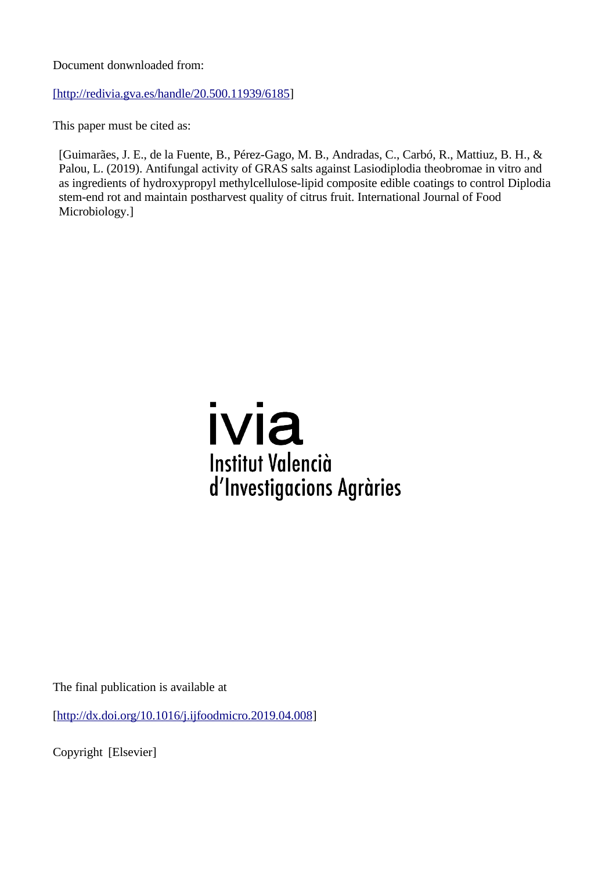Document donwnloaded from:

[http://redivia.gva.es/handle/20.500.11939/6185]

This paper must be cited as:

[Guimarães, J. E., de la Fuente, B., Pérez-Gago, M. B., Andradas, C., Carbó, R., Mattiuz, B. H., & Palou, L. (2019). Antifungal activity of GRAS salts against Lasiodiplodia theobromae in vitro and as ingredients of hydroxypropyl methylcellulose-lipid composite edible coatings to control Diplodia stem-end rot and maintain postharvest quality of citrus fruit. International Journal of Food Microbiology.]



The final publication is available at

[\[http://dx.doi.org/10.1016/j.ijfoodmicro.2019.04.008\]](http://dx.doi.org/10.1016/j.ijfoodmicro.2019.04.008)

Copyright [Elsevier]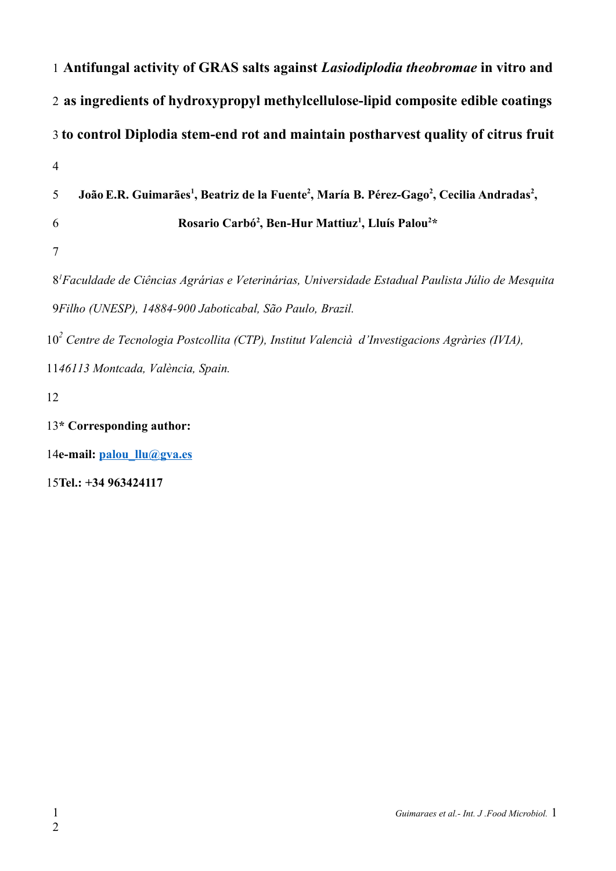| 1 Antifungal activity of GRAS salts against Lasiodiplodia theobromae in vitro and                                                              |
|------------------------------------------------------------------------------------------------------------------------------------------------|
| 2 as ingredients of hydroxypropyl methylcellulose-lipid composite edible coatings                                                              |
| 3 to control Diplodia stem-end rot and maintain postharvest quality of citrus fruit                                                            |
| $\overline{4}$                                                                                                                                 |
| João E.R. Guimarães <sup>1</sup> , Beatriz de la Fuente <sup>2</sup> , María B. Pérez-Gago <sup>2</sup> , Cecilia Andradas <sup>2</sup> ,<br>5 |
| Rosario Carbó <sup>2</sup> , Ben-Hur Mattiuz <sup>1</sup> , Lluís Palou <sup>2*</sup><br>6                                                     |
| 7                                                                                                                                              |
| 8 <sup>1</sup> Faculdade de Ciências Agrárias e Veterinárias, Universidade Estadual Paulista Júlio de Mesquita                                 |
| 9Filho (UNESP), 14884-900 Jaboticabal, São Paulo, Brazil.                                                                                      |
| $102$ Centre de Tecnologia Postcollita (CTP), Institut Valencià d'Investigacions Agràries (IVIA),                                              |
| 1146113 Montcada, València, Spain.                                                                                                             |
| 12                                                                                                                                             |
| 13* Corresponding author:                                                                                                                      |

14e-mail: [palou\\_llu@gva.es](mailto:palou_llu@gva.es)

**Tel.: +34 963424117** 15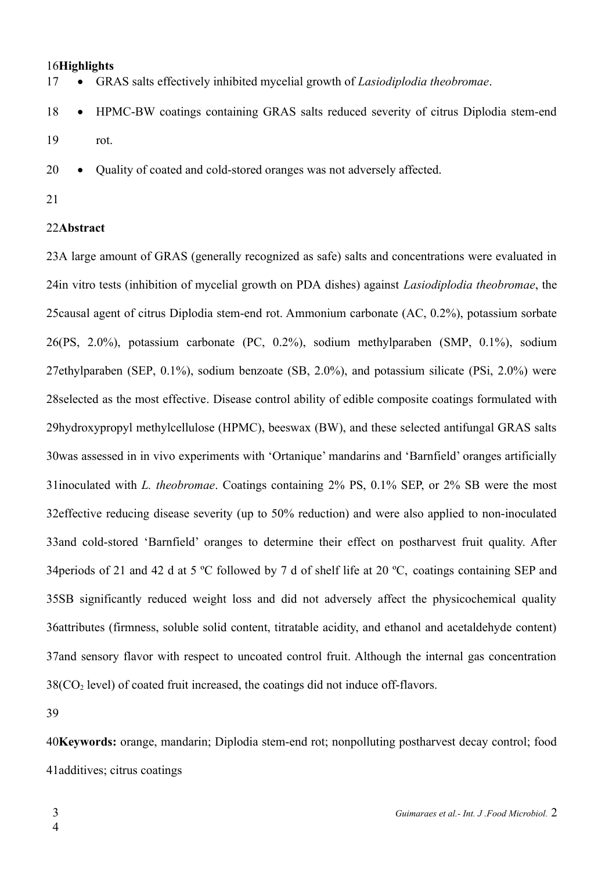### 16Highlights

 GRAS salts effectively inhibited mycelial growth of *Lasiodiplodia theobromae*. 17

 HPMC-BW coatings containing GRAS salts reduced severity of citrus Diplodia stem-end rot. 18 19

 Quality of coated and cold-stored oranges was not adversely affected. 20

21

#### 22Abstract

23A large amount of GRAS (generally recognized as safe) salts and concentrations were evaluated in 24in vitro tests (inhibition of mycelial growth on PDA dishes) against *Lasiodiplodia theobromae*, the 25 causal agent of citrus Diplodia stem-end rot. Ammonium carbonate (AC, 0.2%), potassium sorbate (PS, 2.0%), potassium carbonate (PC, 0.2%), sodium methylparaben (SMP, 0.1%), sodium 26 27ethylparaben (SEP, 0.1%), sodium benzoate (SB, 2.0%), and potassium silicate (PSi, 2.0%) were 28 selected as the most effective. Disease control ability of edible composite coatings formulated with 29hydroxypropyl methylcellulose (HPMC), beeswax (BW), and these selected antifungal GRAS salts 30was assessed in in vivo experiments with 'Ortanique' mandarins and 'Barnfield' oranges artificially 31inoculated with *L. theobromae*. Coatings containing 2% PS, 0.1% SEP, or 2% SB were the most 32 effective reducing disease severity (up to 50% reduction) and were also applied to non-inoculated 33 and cold-stored 'Barnfield' oranges to determine their effect on postharvest fruit quality. After 34 periods of 21 and 42 d at 5 °C followed by 7 d of shelf life at 20 °C, coatings containing SEP and 35SB significantly reduced weight loss and did not adversely affect the physicochemical quality 36 attributes (firmness, soluble solid content, titratable acidity, and ethanol and acetaldehyde content) 37 and sensory flavor with respect to uncoated control fruit. Although the internal gas concentration  $38(CO<sub>2</sub>$  level) of coated fruit increased, the coatings did not induce off-flavors.

39

**Keywords:** orange, mandarin; Diplodia stem-end rot; nonpolluting postharvest decay control; food 40 41 additives; citrus coatings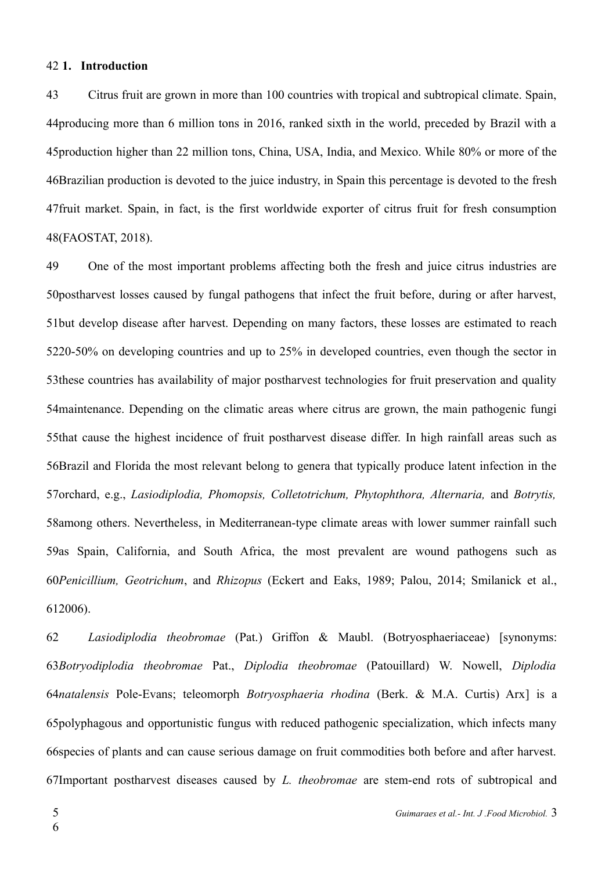#### **1. Introduction** 42

Citrus fruit are grown in more than 100 countries with tropical and subtropical climate. Spain, 44 producing more than 6 million tons in 2016, ranked sixth in the world, preceded by Brazil with a 45production higher than 22 million tons, China, USA, India, and Mexico. While 80% or more of the 46Brazilian production is devoted to the juice industry, in Spain this percentage is devoted to the fresh 47 fruit market. Spain, in fact, is the first worldwide exporter of citrus fruit for fresh consumption (FAOSTAT, 2018). 48 43

One of the most important problems affecting both the fresh and juice citrus industries are 50 postharvest losses caused by fungal pathogens that infect the fruit before, during or after harvest, 51but develop disease after harvest. Depending on many factors, these losses are estimated to reach 5220-50% on developing countries and up to 25% in developed countries, even though the sector in 53 these countries has availability of major postharvest technologies for fruit preservation and quality 54 maintenance. Depending on the climatic areas where citrus are grown, the main pathogenic fungi 55 that cause the highest incidence of fruit postharvest disease differ. In high rainfall areas such as 56Brazil and Florida the most relevant belong to genera that typically produce latent infection in the 57 orchard, e.g., *Lasiodiplodia, Phomopsis, Colletotrichum, Phytophthora, Alternaria, and Botrytis,* 58among others. Nevertheless, in Mediterranean-type climate areas with lower summer rainfall such 59as Spain, California, and South Africa, the most prevalent are wound pathogens such as *Penicillium, Geotrichum*, and *Rhizopus* (Eckert and Eaks, 1989; Palou, 2014; Smilanick et al., 60 612006). 49

*Lasiodiplodia theobromae* (Pat.) Griffon & Maubl. (Botryosphaeriaceae) [synonyms: *Botryodiplodia theobromae* Pat., *Diplodia theobromae* (Patouillard) W. Nowell, *Diplodia* 63 *natalensis* Pole-Evans; teleomorph *Botryosphaeria rhodina* (Berk. & M.A. Curtis) Arx] is a 64 65polyphagous and opportunistic fungus with reduced pathogenic specialization, which infects many 66 species of plants and can cause serious damage on fruit commodities both before and after harvest. 67Important postharvest diseases caused by *L. theobromae* are stem-end rots of subtropical and 62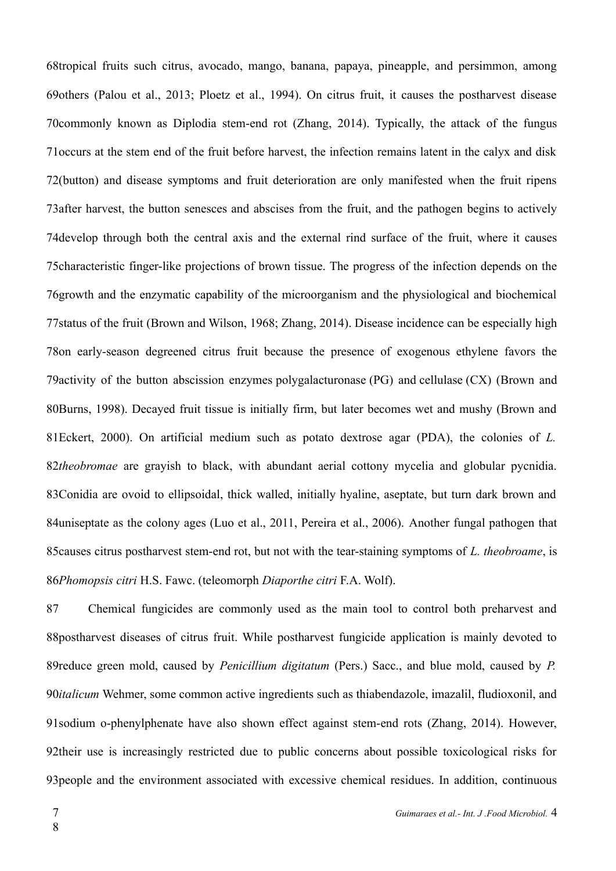68tropical fruits such citrus, avocado, mango, banana, papaya, pineapple, and persimmon, among 69others (Palou et al., 2013; Ploetz et al., 1994). On citrus fruit, it causes the postharvest disease 70 commonly known as Diplodia stem-end rot (Zhang, 2014). Typically, the attack of the fungus 71 occurs at the stem end of the fruit before harvest, the infection remains latent in the calyx and disk 72(button) and disease symptoms and fruit deterioration are only manifested when the fruit ripens 73 after harvest, the button senesces and abscises from the fruit, and the pathogen begins to actively 74 develop through both the central axis and the external rind surface of the fruit, where it causes 75 characteristic finger-like projections of brown tissue. The progress of the infection depends on the 76 growth and the enzymatic capability of the microorganism and the physiological and biochemical 77 status of the fruit (Brown and Wilson, 1968; Zhang, 2014). Disease incidence can be especially high 78on early-season degreened citrus fruit because the presence of exogenous ethylene favors the 79 activity of the button abscission enzymes [polygalacturonase](https://www.sciencedirect.com/topics/agricultural-and-biological-sciences/polygalacturonase) (PG) and [cellulase](https://www.sciencedirect.com/topics/agricultural-and-biological-sciences/cellulase) (CX) (Brown and 80Burns, 1998). Decayed fruit tissue is initially firm, but later becomes wet and mushy (Brown and Eckert, 2000). On artificial medium such as potato dextrose agar (PDA), the colonies of *L.* 81 82theobromae are grayish to black, with abundant aerial cottony mycelia and globular pycnidia. 83Conidia are ovoid to ellipsoidal, thick walled, initially hyaline, aseptate, but turn dark brown and 84uniseptate as the colony ages (Luo et al., 2011, Pereira et al., 2006). Another fungal pathogen that 85 causes citrus postharvest stem-end rot, but not with the tear-staining symptoms of *L. theobroame*, is *Phomopsis citri* H.S. Fawc. (teleomorph *Diaporthe citri* F.A. Wolf). 86

Chemical fungicides are commonly used as the main tool to control both preharvest and 88 postharvest diseases of citrus fruit. While postharvest fungicide application is mainly devoted to 89reduce green mold, caused by *Penicillium digitatum* (Pers.) Sacc., and blue mold, caused by P. 90*italicum* Wehmer, some common active ingredients such as thiabendazole, imazalil, fludioxonil, and 91 sodium o-phenylphenate have also shown effect against stem-end rots (Zhang, 2014). However, 92their use is increasingly restricted due to public concerns about possible toxicological risks for 93 people and the environment associated with excessive chemical residues. In addition, continuous 87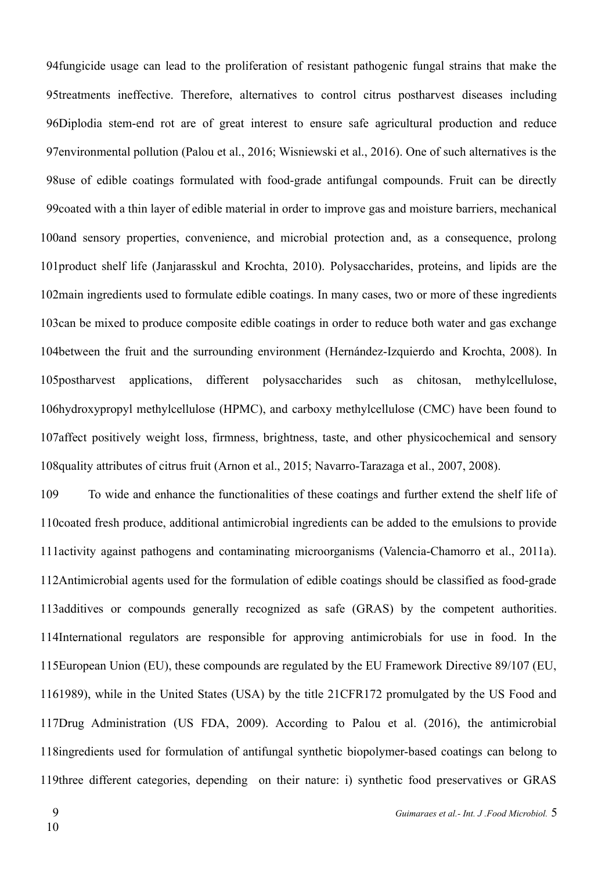94 fungicide usage can lead to the proliferation of resistant pathogenic fungal strains that make the 95treatments ineffective. Therefore, alternatives to control citrus postharvest diseases including 96Diplodia stem-end rot are of great interest to ensure safe agricultural production and reduce 97 environmental pollution (Palou et al., 2016; Wisniewski et al., 2016). One of such alternatives is the 98use of edible coatings formulated with food-grade antifungal compounds. Fruit can be directly 99 coated with a thin layer of edible material in order to improve gas and moisture barriers, mechanical 100 and sensory properties, convenience, and microbial protection and, as a consequence, prolong 101 product shelf life (Janjarasskul and Krochta, 2010). Polysaccharides, proteins, and lipids are the 102 main ingredients used to formulate edible coatings. In many cases, two or more of these ingredients 103can be mixed to produce composite edible coatings in order to reduce both water and gas exchange 104 between the fruit and the surrounding environment (Hernández-Izquierdo and Krochta, 2008). In applications, different polysaccharides such as chitosan, methylcellulose, 106hydroxypropyl methylcellulose (HPMC), and carboxy methylcellulose (CMC) have been found to 107affect positively weight loss, firmness, brightness, taste, and other physicochemical and sensory 108 quality attributes of citrus fruit (Arnon et al., 2015; Navarro-Tarazaga et al., 2007, 2008). 105postharvest

To wide and enhance the functionalities of these coatings and further extend the shelf life of 110 coated fresh produce, additional antimicrobial ingredients can be added to the emulsions to provide 111 activity against pathogens and contaminating microorganisms (Valencia-Chamorro et al., 2011a). 112 Antimicrobial agents used for the formulation of edible coatings should be classified as food-grade 113 additives or compounds generally recognized as safe (GRAS) by the competent authorities. 114International regulators are responsible for approving antimicrobials for use in food. In the 115 European Union (EU), these compounds are regulated by the EU Framework Directive 89/107 (EU, 1161989), while in the United States (USA) by the title 21CFR172 promulgated by the US Food and 117Drug Administration (US FDA, 2009). According to Palou et al. (2016), the antimicrobial 118ingredients used for formulation of antifungal synthetic biopolymer-based coatings can belong to 119three different categories, depending on their nature: i) synthetic food preservatives or GRAS 109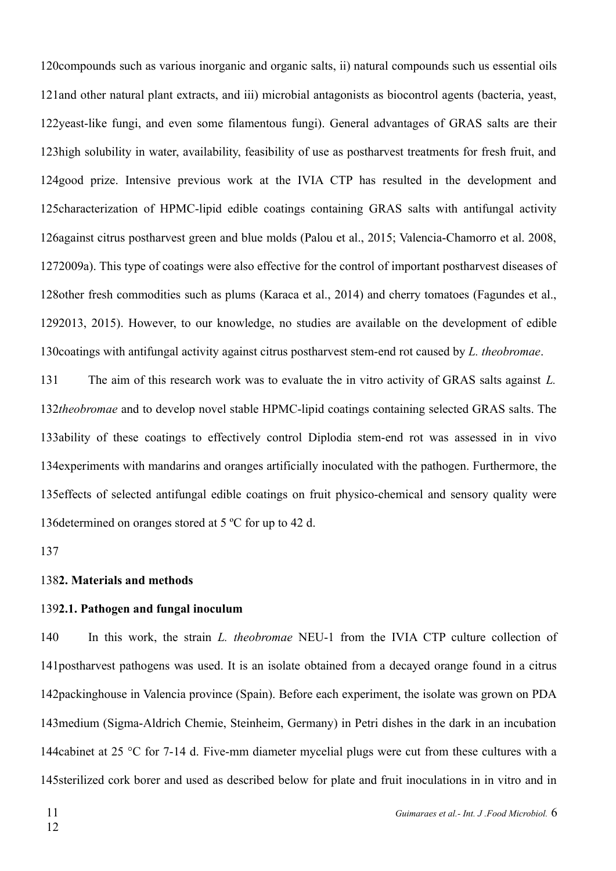120 compounds such as various inorganic and organic salts, ii) natural compounds such us essential oils 121 and other natural plant extracts, and iii) microbial antagonists as biocontrol agents (bacteria, yeast, 122yeast-like fungi, and even some filamentous fungi). General advantages of GRAS salts are their 123 high solubility in water, availability, feasibility of use as postharvest treatments for fresh fruit, and 124good prize. Intensive previous work at the IVIA CTP has resulted in the development and 125 characterization of HPMC-lipid edible coatings containing GRAS salts with antifungal activity 126 against citrus postharvest green and blue molds (Palou et al., 2015; Valencia-Chamorro et al. 2008, 1272009a). This type of coatings were also effective for the control of important postharvest diseases of 128 other fresh commodities such as plums (Karaca et al., 2014) and cherry tomatoes (Fagundes et al., 2013, 2015). However, to our knowledge, no studies are available on the development of edible 129 130 coatings with antifungal activity against citrus postharvest stem-end rot caused by *L. theobromae*.

The aim of this research work was to evaluate the in vitro activity of GRAS salts against *L.* 132theobromae and to develop novel stable HPMC-lipid coatings containing selected GRAS salts. The 133ability of these coatings to effectively control Diplodia stem-end rot was assessed in in vivo 134 experiments with mandarins and oranges artificially inoculated with the pathogen. Furthermore, the 135 effects of selected antifungal edible coatings on fruit physico-chemical and sensory quality were 136 determined on oranges stored at  $5^{\circ}$ C for up to 42 d. 131

137

#### 1382. Materials and methods

#### **2.1. Pathogen and fungal inoculum** 139

In this work, the strain *L. theobromae* NEU-1 from the IVIA CTP culture collection of 141 postharvest pathogens was used. It is an isolate obtained from a decayed orange found in a citrus 142 packinghouse in Valencia province (Spain). Before each experiment, the isolate was grown on PDA 143 medium (Sigma-Aldrich Chemie, Steinheim, Germany) in Petri dishes in the dark in an incubation 144 cabinet at 25 °C for 7-14 d. Five-mm diameter mycelial plugs were cut from these cultures with a 145 sterilized cork borer and used as described below for plate and fruit inoculations in in vitro and in 140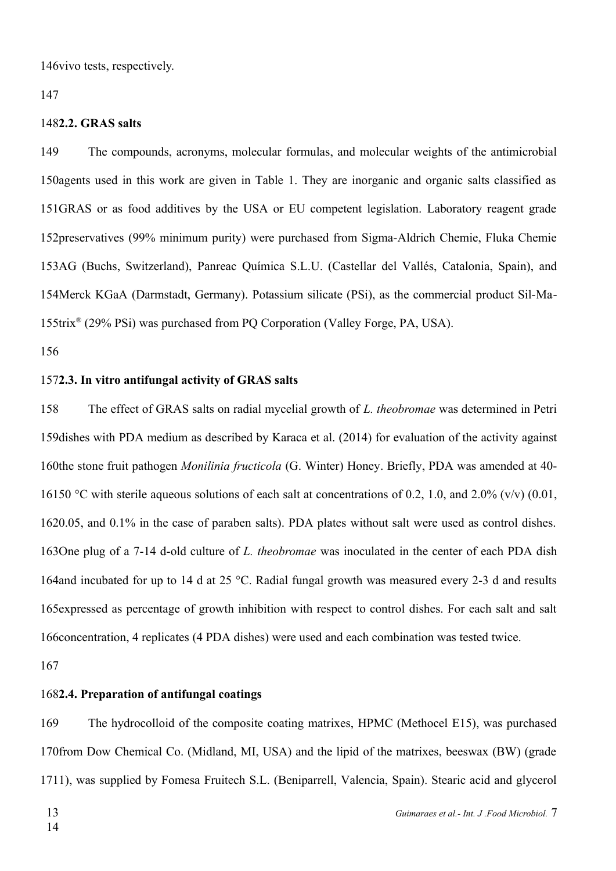146 vivo tests, respectively.

147

#### **2.2. GRAS salts** 148

The compounds, acronyms, molecular formulas, and molecular weights of the antimicrobial 150 agents used in this work are given in Table 1. They are inorganic and organic salts classified as 151GRAS or as food additives by the USA or EU competent legislation. Laboratory reagent grade 152 preservatives (99% minimum purity) were purchased from Sigma-Aldrich Chemie, Fluka Chemie 153AG (Buchs, Switzerland), Panreac Química S.L.U. (Castellar del Vallés, Catalonia, Spain), and 154Merck KGaA (Darmstadt, Germany). Potassium silicate (PSi), as the commercial product Sil-Ma-155trix® (29% PSi) was purchased from PQ Corporation (Valley Forge, PA, USA). 149

156

## **2.3. In vitro antifungal activity of GRAS salts** 157

The effect of GRAS salts on radial mycelial growth of *L. theobromae* was determined in Petri 159 dishes with PDA medium as described by Karaca et al. (2014) for evaluation of the activity against 160the stone fruit pathogen *Monilinia fructicola* (G. Winter) Honey. Briefly, PDA was amended at 40-16150 °C with sterile aqueous solutions of each salt at concentrations of 0.2, 1.0, and 2.0% (v/v) (0.01, 1620.05, and 0.1% in the case of paraben salts). PDA plates without salt were used as control dishes. 163One plug of a 7-14 d-old culture of *L. theobromae* was inoculated in the center of each PDA dish 164 and incubated for up to 14 d at 25 °C. Radial fungal growth was measured every 2-3 d and results 165 expressed as percentage of growth inhibition with respect to control dishes. For each salt and salt 166 concentration, 4 replicates (4 PDA dishes) were used and each combination was tested twice. 158

167

## **2.4. Preparation of antifungal coatings** 168

The hydrocolloid of the composite coating matrixes, HPMC (Methocel E15), was purchased 170from Dow Chemical Co. (Midland, MI, USA) and the lipid of the matrixes, beeswax (BW) (grade 1711), was supplied by Fomesa Fruitech S.L. (Beniparrell, Valencia, Spain). Stearic acid and glycerol 169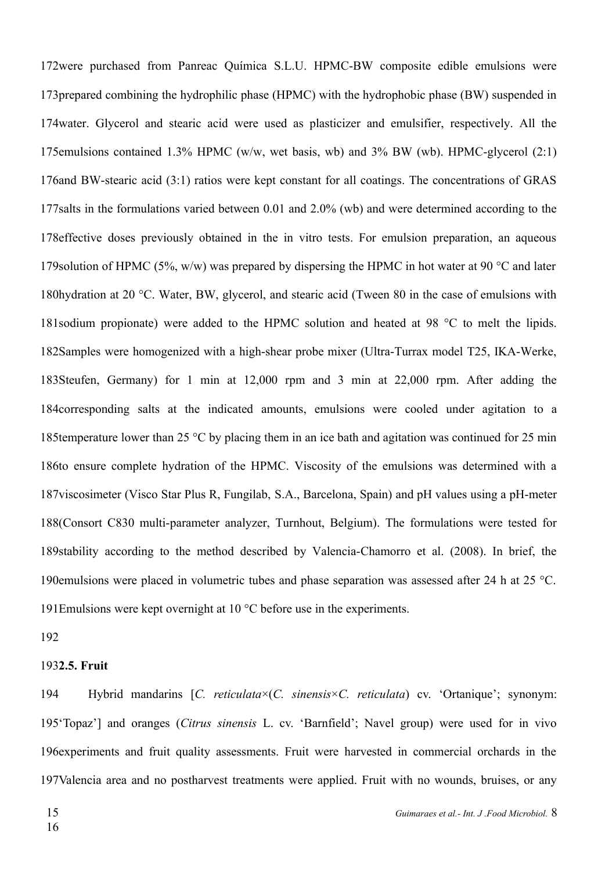172were purchased from Panreac Química S.L.U. HPMC-BW composite edible emulsions were 173 prepared combining the hydrophilic phase (HPMC) with the hydrophobic phase (BW) suspended in 174 water. Glycerol and stearic acid were used as plasticizer and emulsifier, respectively. All the 175 emulsions contained 1.3% HPMC (w/w, wet basis, wb) and 3% BW (wb). HPMC-glycerol  $(2:1)$ 176 and BW-stearic acid  $(3:1)$  ratios were kept constant for all coatings. The concentrations of GRAS 177 salts in the formulations varied between 0.01 and 2.0% (wb) and were determined according to the 178 effective doses previously obtained in the in vitro tests. For emulsion preparation, an aqueous 179 solution of HPMC (5%, w/w) was prepared by dispersing the HPMC in hot water at 90 °C and later 180hydration at 20 °C. Water, BW, glycerol, and stearic acid (Tween 80 in the case of emulsions with 181 sodium propionate) were added to the HPMC solution and heated at 98  $^{\circ}$ C to melt the lipids. 182Samples were homogenized with a high-shear probe mixer (Ultra-Turrax model T25, IKA-Werke, 183Steufen, Germany) for 1 min at 12,000 rpm and 3 min at 22,000 rpm. After adding the 184 corresponding salts at the indicated amounts, emulsions were cooled under agitation to a 185 temperature lower than 25 °C by placing them in an ice bath and agitation was continued for 25 min 186to ensure complete hydration of the HPMC. Viscosity of the emulsions was determined with a 187 viscosimeter (Visco Star Plus R, Fungilab, S.A., Barcelona, Spain) and pH values using a pH-meter 188(Consort C830 multi-parameter analyzer, Turnhout, Belgium). The formulations were tested for 189stability according to the method described by Valencia-Chamorro et al. (2008). In brief, the 190 emulsions were placed in volumetric tubes and phase separation was assessed after 24 h at 25 °C. 191 Emulsions were kept overnight at 10  $^{\circ}$ C before use in the experiments.

### 192

#### **2.5. Fruit** 193

Hybrid mandarins [*C. reticulata*×(*C. sinensis*×*C. reticulata*) cv. 'Ortanique'; synonym: 195'Topaz'] and oranges (Citrus sinensis L. cv. 'Barnfield'; Navel group) were used for in vivo 196 experiments and fruit quality assessments. Fruit were harvested in commercial orchards in the 197Valencia area and no postharvest treatments were applied. Fruit with no wounds, bruises, or any 194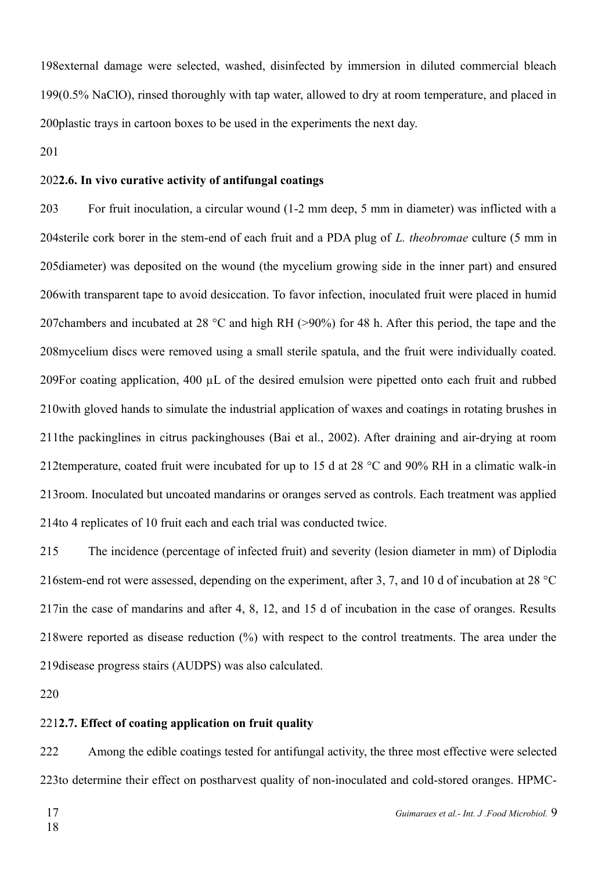198 external damage were selected, washed, disinfected by immersion in diluted commercial bleach 199(0.5% NaClO), rinsed thoroughly with tap water, allowed to dry at room temperature, and placed in 200 plastic trays in cartoon boxes to be used in the experiments the next day.

201

### **2.6. In vivo curative activity of antifungal coatings** 202

For fruit inoculation, a circular wound (1-2 mm deep, 5 mm in diameter) was inflicted with a 204sterile cork borer in the stem-end of each fruit and a PDA plug of *L. theobromae* culture (5 mm in 205diameter) was deposited on the wound (the mycelium growing side in the inner part) and ensured 206 with transparent tape to avoid desiccation. To favor infection, inoculated fruit were placed in humid 207 chambers and incubated at 28  $\degree$ C and high RH (>90%) for 48 h. After this period, the tape and the 208 mycelium discs were removed using a small sterile spatula, and the fruit were individually coated. 209For coating application, 400 μL of the desired emulsion were pipetted onto each fruit and rubbed 210 with gloved hands to simulate the industrial application of waxes and coatings in rotating brushes in 211 the packinglines in citrus packinghouses (Bai et al., 2002). After draining and air-drying at room 212 temperature, coated fruit were incubated for up to 15 d at 28  $^{\circ}$ C and 90% RH in a climatic walk-in 213 room. Inoculated but uncoated mandarins or oranges served as controls. Each treatment was applied 214to 4 replicates of 10 fruit each and each trial was conducted twice. 203

The incidence (percentage of infected fruit) and severity (lesion diameter in mm) of Diplodia 216 stem-end rot were assessed, depending on the experiment, after 3, 7, and 10 d of incubation at 28  $^{\circ}$ C 217 in the case of mandarins and after 4, 8, 12, and 15 d of incubation in the case of oranges. Results 218 were reported as disease reduction  $(\%)$  with respect to the control treatments. The area under the 219 disease progress stairs (AUDPS) was also calculated. 215

220

#### **2.7. Effect of coating application on fruit quality** 221

Among the edible coatings tested for antifungal activity, the three most effective were selected 223to determine their effect on postharvest quality of non-inoculated and cold-stored oranges. HPMC-222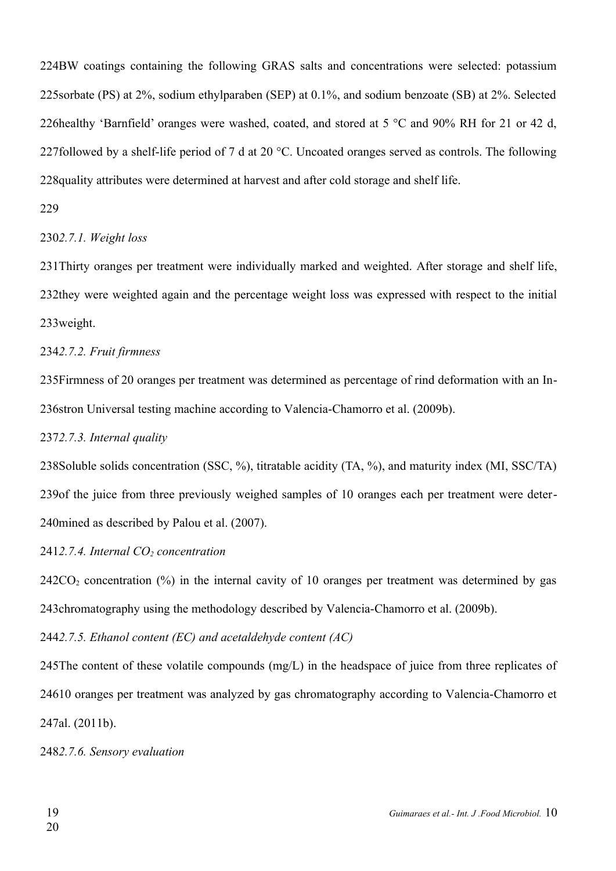224BW coatings containing the following GRAS salts and concentrations were selected: potassium 225 sorbate (PS) at 2%, sodium ethylparaben (SEP) at 0.1%, and sodium benzoate (SB) at 2%. Selected 226healthy 'Barnfield' oranges were washed, coated, and stored at 5  $^{\circ}$ C and 90% RH for 21 or 42 d, 227followed by a shelf-life period of 7 d at 20  $^{\circ}$ C. Uncoated oranges served as controls. The following 228 quality attributes were determined at harvest and after cold storage and shelf life.

#### 229

#### *2.7.1. Weight loss* 230

231 Thirty oranges per treatment were individually marked and weighted. After storage and shelf life, 232they were weighted again and the percentage weight loss was expressed with respect to the initial 233weight.

*2.7.2. Fruit firmness* 234

235 Firmness of 20 oranges per treatment was determined as percentage of rind deformation with an In-236stron Universal testing machine according to Valencia-Chamorro et al. (2009b).

### *2.7.3. Internal quality* 237

238Soluble solids concentration (SSC, %), titratable acidity (TA, %), and maturity index (MI, SSC/TA) 239 of the juice from three previously weighed samples of 10 oranges each per treatment were deter-240mined as described by Palou et al. (2007).

*2.7.4. Internal CO2 concentration* 241

 $242CO<sub>2</sub>$  concentration (%) in the internal cavity of 10 oranges per treatment was determined by gas 243 chromatography using the methodology described by Valencia-Chamorro et al. (2009b).

*2.7.5. Ethanol content (EC) and acetaldehyde content (AC)*  244

245The content of these volatile compounds (mg/L) in the headspace of juice from three replicates of 24610 oranges per treatment was analyzed by gas chromatography according to Valencia-Chamorro et 247al. (2011b).

*2.7.6. Sensory evaluation* 248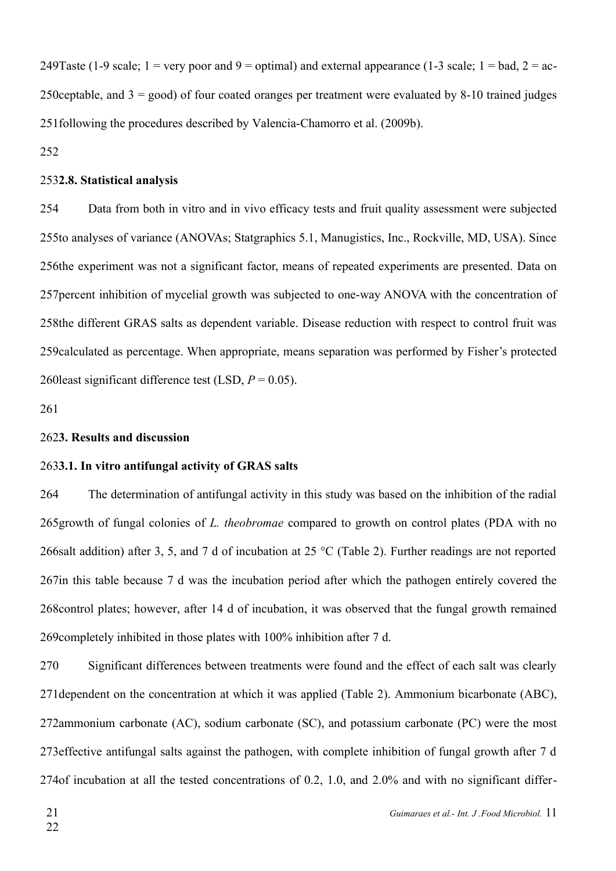249Taste (1-9 scale;  $1 =$  very poor and 9 = optimal) and external appearance (1-3 scale;  $1 =$  bad,  $2 =$  ac-250 ceptable, and  $3 =$  good) of four coated oranges per treatment were evaluated by 8-10 trained judges 251 following the procedures described by Valencia-Chamorro et al. (2009b).

252

#### **2.8. Statistical analysis** 253

Data from both in vitro and in vivo efficacy tests and fruit quality assessment were subjected 255to analyses of variance (ANOVAs; Statgraphics 5.1, Manugistics, Inc., Rockville, MD, USA). Since 256the experiment was not a significant factor, means of repeated experiments are presented. Data on 257 percent inhibition of mycelial growth was subjected to one-way ANOVA with the concentration of 258the different GRAS salts as dependent variable. Disease reduction with respect to control fruit was 259 calculated as percentage. When appropriate, means separation was performed by Fisher's protected 260 least significant difference test (LSD,  $P = 0.05$ ). 254

261

#### **3. Results and discussion** 262

#### **3.1. In vitro antifungal activity of GRAS salts** 263

The determination of antifungal activity in this study was based on the inhibition of the radial 265 growth of fungal colonies of *L. theobromae* compared to growth on control plates (PDA with no 266 salt addition) after 3, 5, and 7 d of incubation at 25 °C (Table 2). Further readings are not reported 267 in this table because 7 d was the incubation period after which the pathogen entirely covered the 268 control plates; however, after 14 d of incubation, it was observed that the fungal growth remained 269 completely inhibited in those plates with 100% inhibition after 7 d. 264

Significant differences between treatments were found and the effect of each salt was clearly 271 dependent on the concentration at which it was applied (Table 2). Ammonium bicarbonate (ABC), 272ammonium carbonate (AC), sodium carbonate (SC), and potassium carbonate (PC) were the most 273 effective antifungal salts against the pathogen, with complete inhibition of fungal growth after 7 d 274 of incubation at all the tested concentrations of 0.2, 1.0, and 2.0% and with no significant differ-270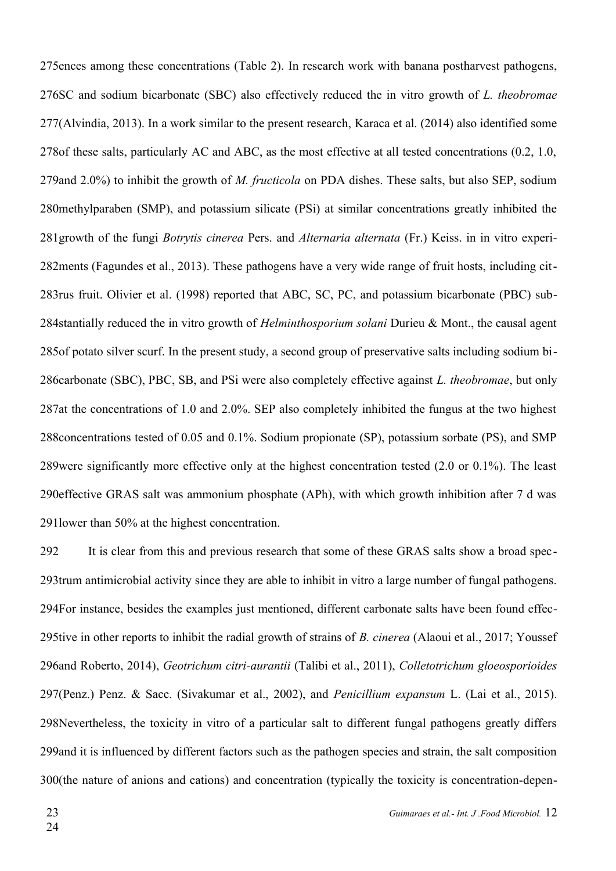275 ences among these concentrations (Table 2). In research work with banana postharvest pathogens, 276SC and sodium bicarbonate (SBC) also effectively reduced the in vitro growth of *L. theobromae* 277(Alvindia, 2013). In a work similar to the present research, Karaca et al. (2014) also identified some 278 of these salts, particularly AC and ABC, as the most effective at all tested concentrations (0.2, 1.0, 279 and 2.0%) to inhibit the growth of *M. fructicola* on PDA dishes. These salts, but also SEP, sodium 280 methylparaben (SMP), and potassium silicate (PSi) at similar concentrations greatly inhibited the 281 growth of the fungi *Botrytis cinerea* Pers. and *Alternaria alternata* (Fr.) Keiss. in in vitro experi-282 ments (Fagundes et al., 2013). These pathogens have a very wide range of fruit hosts, including cit-283rus fruit. Olivier et al. (1998) reported that ABC, SC, PC, and potassium bicarbonate (PBC) sub-284stantially reduced the in vitro growth of *Helminthosporium solani* Durieu & Mont., the causal agent 285 of potato silver scurf. In the present study, a second group of preservative salts including sodium bi-286carbonate (SBC), PBC, SB, and PSi were also completely effective against *L. theobromae*, but only 287at the concentrations of 1.0 and 2.0%. SEP also completely inhibited the fungus at the two highest 288 concentrations tested of 0.05 and 0.1%. Sodium propionate (SP), potassium sorbate (PS), and SMP 289 were significantly more effective only at the highest concentration tested  $(2.0 \text{ or } 0.1\%)$ . The least 290 effective GRAS salt was ammonium phosphate (APh), with which growth inhibition after 7 d was 291 lower than 50% at the highest concentration.

It is clear from this and previous research that some of these GRAS salts show a broad spec-293trum antimicrobial activity since they are able to inhibit in vitro a large number of fungal pathogens. 294For instance, besides the examples just mentioned, different carbonate salts have been found effec-295tive in other reports to inhibit the radial growth of strains of *B. cinerea* (Alaoui et al., 2017; Youssef and Roberto, 2014), *Geotrichum citri-aurantii* (Talibi et al., 2011), *Colletotrichum gloeosporioides* 296 (Penz.) Penz. & Sacc. (Sivakumar et al., 2002), and *Penicillium expansum* L. (Lai et al., 2015). 297 298Nevertheless, the toxicity in vitro of a particular salt to different fungal pathogens greatly differs 299 and it is influenced by different factors such as the pathogen species and strain, the salt composition 300(the nature of anions and cations) and concentration (typically the toxicity is concentration-depen-292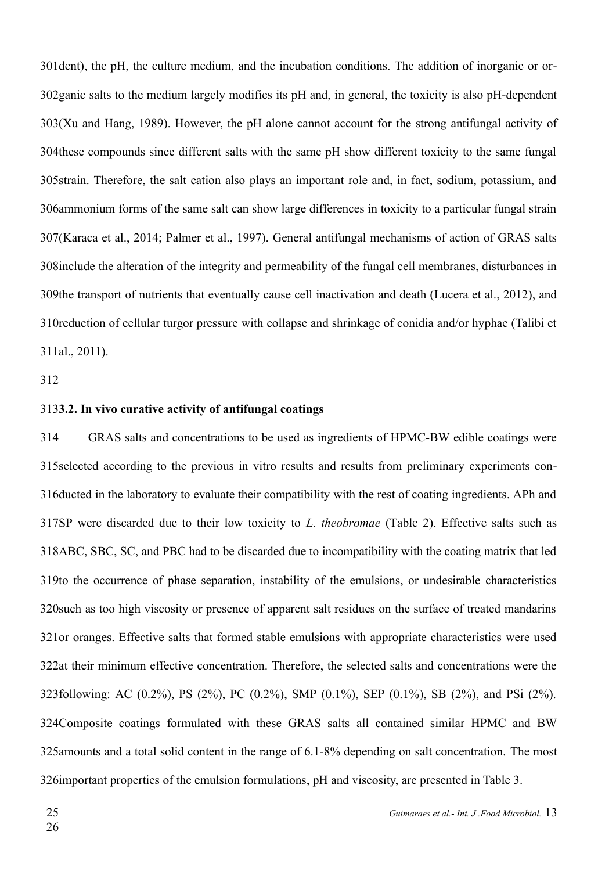301 dent), the pH, the culture medium, and the incubation conditions. The addition of inorganic or or-302 ganic salts to the medium largely modifies its pH and, in general, the toxicity is also pH-dependent 303(Xu and Hang, 1989). However, the pH alone cannot account for the strong antifungal activity of 304 these compounds since different salts with the same pH show different toxicity to the same fungal 305 strain. Therefore, the salt cation also plays an important role and, in fact, sodium, potassium, and 306ammonium forms of the same salt can show large differences in toxicity to a particular fungal strain 307(Karaca et al., 2014; Palmer et al., 1997). General antifungal mechanisms of action of GRAS salts 308 include the alteration of the integrity and permeability of the fungal cell membranes, disturbances in 309the transport of nutrients that eventually cause cell inactivation and death (Lucera et al., 2012), and 310 reduction of cellular turgor pressure with collapse and shrinkage of conidia and/or hyphae (Talibi et 311al., 2011).

312

#### **3.2. In vivo curative activity of antifungal coatings** 313

GRAS salts and concentrations to be used as ingredients of HPMC-BW edible coatings were 315 selected according to the previous in vitro results and results from preliminary experiments con-316 ducted in the laboratory to evaluate their compatibility with the rest of coating ingredients. APh and 317SP were discarded due to their low toxicity to *L. theobromae* (Table 2). Effective salts such as 318ABC, SBC, SC, and PBC had to be discarded due to incompatibility with the coating matrix that led 319to the occurrence of phase separation, instability of the emulsions, or undesirable characteristics 320 such as too high viscosity or presence of apparent salt residues on the surface of treated mandarins 321 or oranges. Effective salts that formed stable emulsions with appropriate characteristics were used 322at their minimum effective concentration. Therefore, the selected salts and concentrations were the 323following: AC (0.2%), PS (2%), PC (0.2%), SMP (0.1%), SEP (0.1%), SB (2%), and PSi (2%). 324Composite coatings formulated with these GRAS salts all contained similar HPMC and BW 325 amounts and a total solid content in the range of 6.1-8% depending on salt concentration. The most 326 important properties of the emulsion formulations, pH and viscosity, are presented in Table 3. 314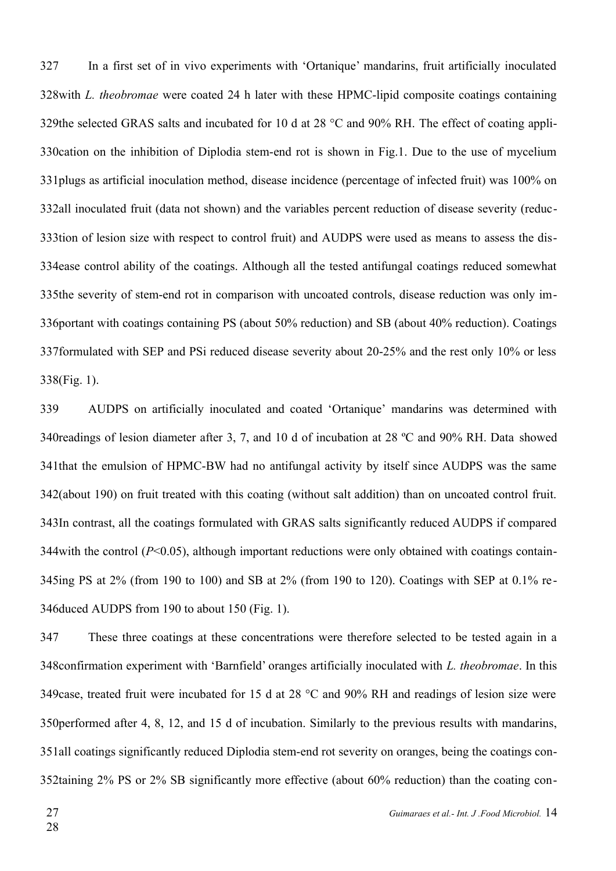In a first set of in vivo experiments with 'Ortanique' mandarins, fruit artificially inoculated 328 with *L. theobromae* were coated 24 h later with these HPMC-lipid composite coatings containing 329the selected GRAS salts and incubated for 10 d at 28  $^{\circ}$ C and 90% RH. The effect of coating appli-330 cation on the inhibition of Diplodia stem-end rot is shown in Fig.1. Due to the use of mycelium 331 plugs as artificial inoculation method, disease incidence (percentage of infected fruit) was 100% on 332all inoculated fruit (data not shown) and the variables percent reduction of disease severity (reduc-333tion of lesion size with respect to control fruit) and AUDPS were used as means to assess the dis-334ease control ability of the coatings. Although all the tested antifungal coatings reduced somewhat 335the severity of stem-end rot in comparison with uncoated controls, disease reduction was only im-336 portant with coatings containing PS (about 50% reduction) and SB (about 40% reduction). Coatings 337 formulated with SEP and PSi reduced disease severity about 20-25% and the rest only 10% or less 338(Fig. 1). 327

AUDPS on artificially inoculated and coated 'Ortanique' mandarins was determined with 340 readings of lesion diameter after 3, 7, and 10 d of incubation at 28 °C and 90% RH. Data showed 341 that the emulsion of HPMC-BW had no antifungal activity by itself since AUDPS was the same 342(about 190) on fruit treated with this coating (without salt addition) than on uncoated control fruit. 343In contrast, all the coatings formulated with GRAS salts significantly reduced AUDPS if compared 344 with the control  $(P<0.05)$ , although important reductions were only obtained with coatings contain-345ing PS at 2% (from 190 to 100) and SB at 2% (from 190 to 120). Coatings with SEP at 0.1% re-346 duced AUDPS from 190 to about 150 (Fig. 1). 339

These three coatings at these concentrations were therefore selected to be tested again in a 348 confirmation experiment with 'Barnfield' oranges artificially inoculated with *L. theobromae*. In this 349 case, treated fruit were incubated for 15 d at 28  $^{\circ}$ C and 90% RH and readings of lesion size were 350 performed after 4, 8, 12, and 15 d of incubation. Similarly to the previous results with mandarins, 351all coatings significantly reduced Diplodia stem-end rot severity on oranges, being the coatings con-352taining 2% PS or 2% SB significantly more effective (about 60% reduction) than the coating con-347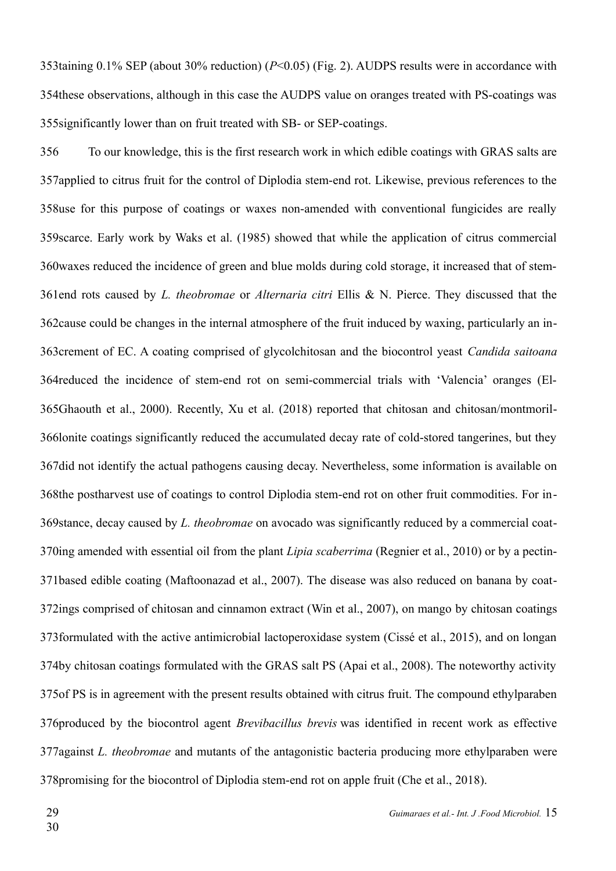353taining 0.1% SEP (about 30% reduction) (*P*<0.05) (Fig. 2). AUDPS results were in accordance with 354 these observations, although in this case the AUDPS value on oranges treated with PS-coatings was 355 significantly lower than on fruit treated with SB- or SEP-coatings.

To our knowledge, this is the first research work in which edible coatings with GRAS salts are 357 applied to citrus fruit for the control of Diplodia stem-end rot. Likewise, previous references to the 358use for this purpose of coatings or waxes non-amended with conventional fungicides are really 359 scarce. Early work by Waks et al. (1985) showed that while the application of citrus commercial 360 waxes reduced the incidence of green and blue molds during cold storage, it increased that of stem-361end rots caused by *L. theobromae* or *Alternaria citri* Ellis & N. Pierce. They discussed that the 362 cause could be changes in the internal atmosphere of the fruit induced by waxing, particularly an in-363crement of EC. A coating comprised of glycolchitosan and the biocontrol yeast *Candida saitoana* 364 reduced the incidence of stem-end rot on semi-commercial trials with 'Valencia' oranges (El-365Ghaouth et al., 2000). Recently, Xu et al. (2018) reported that chitosan and chitosan/montmoril-366lonite coatings significantly reduced the accumulated decay rate of cold-stored tangerines, but they 367 did not identify the actual pathogens causing decay. Nevertheless, some information is available on 368the postharvest use of coatings to control Diplodia stem-end rot on other fruit commodities. For in-369stance, decay caused by *L. theobromae* on avocado was significantly reduced by a commercial coat-370ing amended with essential oil from the plant *Lipia scaberrima* (Regnier et al., 2010) or by a pectin-371based edible coating (Maftoonazad et al., 2007). The disease was also reduced on banana by coat-372ings comprised of chitosan and cinnamon extract (Win et al., 2007), on mango by chitosan coatings 373formulated with the active antimicrobial lactoperoxidase system (Cissé et al., 2015), and on longan 374by chitosan coatings formulated with the GRAS salt PS (Apai et al., 2008). The noteworthy activity 375 of PS is in agreement with the present results obtained with citrus fruit. The compound ethylparaben 376produced by the biocontrol agent *Brevibacillus brevis* was identified in recent work as effective 377 against *L. theobromae* and mutants of the antagonistic bacteria producing more ethylparaben were 378 promising for the biocontrol of Diplodia stem-end rot on apple fruit (Che et al., 2018). 356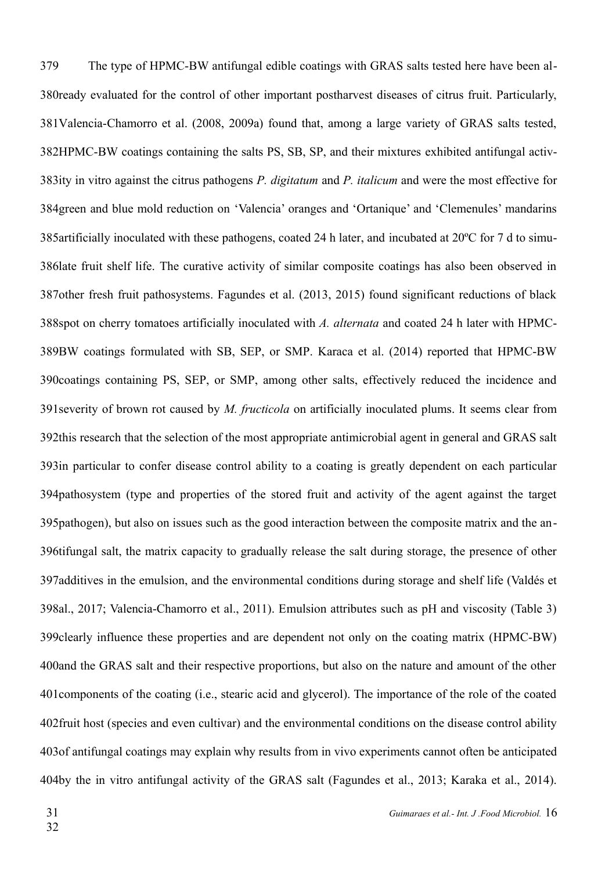The type of HPMC-BW antifungal edible coatings with GRAS salts tested here have been al-380ready evaluated for the control of other important postharvest diseases of citrus fruit. Particularly, 381Valencia-Chamorro et al. (2008, 2009a) found that, among a large variety of GRAS salts tested, 382HPMC-BW coatings containing the salts PS, SB, SP, and their mixtures exhibited antifungal activ-383ity in vitro against the citrus pathogens *P. digitatum* and *P. italicum* and were the most effective for 384green and blue mold reduction on 'Valencia' oranges and 'Ortanique' and 'Clemenules' mandarins 385 artificially inoculated with these pathogens, coated 24 h later, and incubated at 20°C for 7 d to simu-386late fruit shelf life. The curative activity of similar composite coatings has also been observed in 387other fresh fruit pathosystems. Fagundes et al. (2013, 2015) found significant reductions of black 388spot on cherry tomatoes artificially inoculated with A. alternata and coated 24 h later with HPMC-389BW coatings formulated with SB, SEP, or SMP. Karaca et al. (2014) reported that HPMC-BW 390 coatings containing PS, SEP, or SMP, among other salts, effectively reduced the incidence and 391 severity of brown rot caused by *M. fructicola* on artificially inoculated plums. It seems clear from 392this research that the selection of the most appropriate antimicrobial agent in general and GRAS salt 393in particular to confer disease control ability to a coating is greatly dependent on each particular 394pathosystem (type and properties of the stored fruit and activity of the agent against the target 395 pathogen), but also on issues such as the good interaction between the composite matrix and the an-396tifungal salt, the matrix capacity to gradually release the salt during storage, the presence of other 397 additives in the emulsion, and the environmental conditions during storage and shelf life (Valdés et 398al., 2017; Valencia-Chamorro et al., 2011). Emulsion attributes such as pH and viscosity (Table 3) 399 clearly influence these properties and are dependent not only on the coating matrix (HPMC-BW) 400 and the GRAS salt and their respective proportions, but also on the nature and amount of the other 401 components of the coating (i.e., stearic acid and glycerol). The importance of the role of the coated 402 fruit host (species and even cultivar) and the environmental conditions on the disease control ability 403 of antifungal coatings may explain why results from in vivo experiments cannot often be anticipated 404by the in vitro antifungal activity of the GRAS salt (Fagundes et al., 2013; Karaka et al., 2014). 379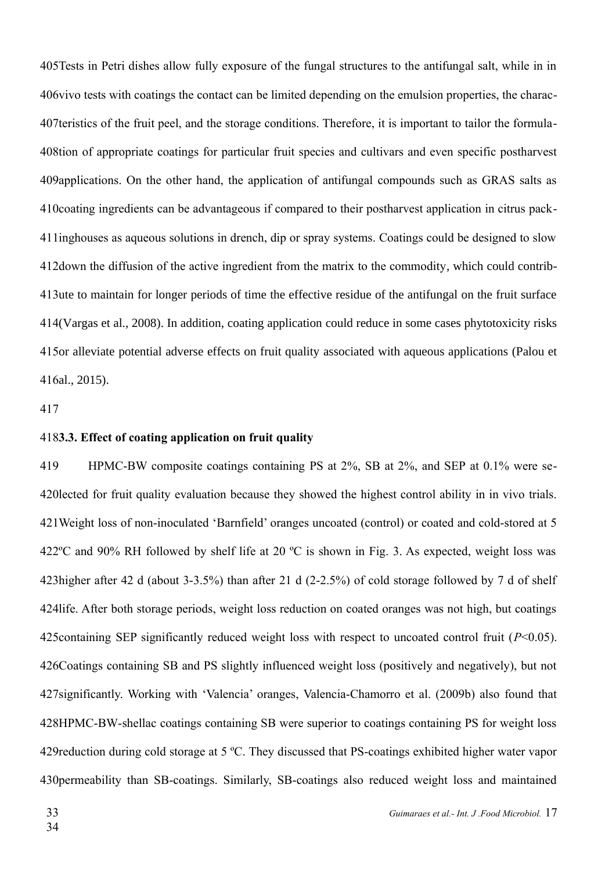405 Tests in Petri dishes allow fully exposure of the fungal structures to the antifungal salt, while in in 406 vivo tests with coatings the contact can be limited depending on the emulsion properties, the charac-407 teristics of the fruit peel, and the storage conditions. Therefore, it is important to tailor the formula-408tion of appropriate coatings for particular fruit species and cultivars and even specific postharvest 409 applications. On the other hand, the application of antifungal compounds such as GRAS salts as 410 coating ingredients can be advantageous if compared to their postharvest application in citrus pack-411inghouses as aqueous solutions in drench, dip or spray systems. Coatings could be designed to slow 412 down the diffusion of the active ingredient from the matrix to the commodity, which could contrib-413ute to maintain for longer periods of time the effective residue of the antifungal on the fruit surface 414(Vargas et al., 2008). In addition, coating application could reduce in some cases phytotoxicity risks 415 or alleviate potential adverse effects on fruit quality associated with aqueous applications (Palou et 416al., 2015).

417

#### **3.3. Effect of coating application on fruit quality** 418

HPMC-BW composite coatings containing PS at 2%, SB at 2%, and SEP at 0.1% were se-420 lected for fruit quality evaluation because they showed the highest control ability in in vivo trials. Weight loss of non-inoculated 'Barnfield' oranges uncoated (control) or coated and cold-stored at 5 421 422 $^{\circ}$ C and 90% RH followed by shelf life at 20  $^{\circ}$ C is shown in Fig. 3. As expected, weight loss was 423 higher after 42 d (about 3-3.5%) than after 21 d (2-2.5%) of cold storage followed by 7 d of shelf 424life. After both storage periods, weight loss reduction on coated oranges was not high, but coatings 425 containing SEP significantly reduced weight loss with respect to uncoated control fruit  $(P<0.05)$ . 426 Coatings containing SB and PS slightly influenced weight loss (positively and negatively), but not 427 significantly. Working with 'Valencia' oranges, Valencia-Chamorro et al. (2009b) also found that 428HPMC-BW-shellac coatings containing SB were superior to coatings containing PS for weight loss 429 reduction during cold storage at 5 °C. They discussed that PS-coatings exhibited higher water vapor 430 permeability than SB-coatings. Similarly, SB-coatings also reduced weight loss and maintained 419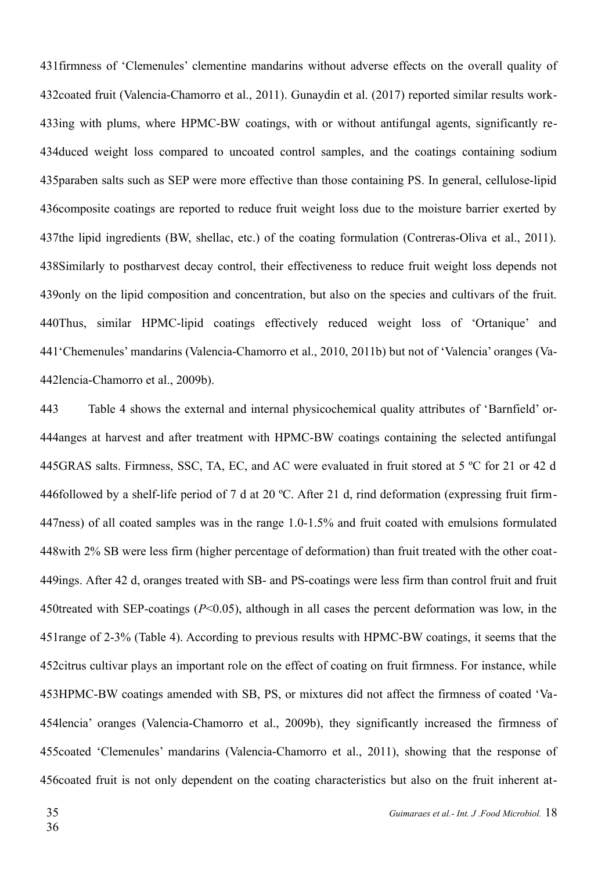431 firmness of 'Clemenules' clementine mandarins without adverse effects on the overall quality of 432 coated fruit (Valencia-Chamorro et al., 2011). Gunaydin et al. (2017) reported similar results work-433ing with plums, where HPMC-BW coatings, with or without antifungal agents, significantly re-434 duced weight loss compared to uncoated control samples, and the coatings containing sodium 435 paraben salts such as SEP were more effective than those containing PS. In general, cellulose-lipid 436 composite coatings are reported to reduce fruit weight loss due to the moisture barrier exerted by 437the lipid ingredients (BW, shellac, etc.) of the coating formulation (Contreras-Oliva et al., 2011). 438Similarly to postharvest decay control, their effectiveness to reduce fruit weight loss depends not 439 only on the lipid composition and concentration, but also on the species and cultivars of the fruit. 440Thus, similar HPMC-lipid coatings effectively reduced weight loss of 'Ortanique' and 'Chemenules' mandarins (Valencia-Chamorro et al., 2010, 2011b) but not of 'Valencia' oranges (Va-441 442lencia-Chamorro et al., 2009b).

Table 4 shows the external and internal physicochemical quality attributes of 'Barnfield' or-444 anges at harvest and after treatment with HPMC-BW coatings containing the selected antifungal 445GRAS salts. Firmness, SSC, TA, EC, and AC were evaluated in fruit stored at 5 °C for 21 or 42 d 446followed by a shelf-life period of 7 d at 20 °C. After 21 d, rind deformation (expressing fruit firm-447ness) of all coated samples was in the range 1.0-1.5% and fruit coated with emulsions formulated 448 with 2% SB were less firm (higher percentage of deformation) than fruit treated with the other coat-449ings. After 42 d, oranges treated with SB- and PS-coatings were less firm than control fruit and fruit 450treated with SEP-coatings  $(P<0.05)$ , although in all cases the percent deformation was low, in the 451 range of 2-3% (Table 4). According to previous results with HPMC-BW coatings, it seems that the 452 citrus cultivar plays an important role on the effect of coating on fruit firmness. For instance, while 453HPMC-BW coatings amended with SB, PS, or mixtures did not affect the firmness of coated 'Va-454lencia' oranges (Valencia-Chamorro et al., 2009b), they significantly increased the firmness of 455 coated 'Clemenules' mandarins (Valencia-Chamorro et al., 2011), showing that the response of 456 coated fruit is not only dependent on the coating characteristics but also on the fruit inherent at-443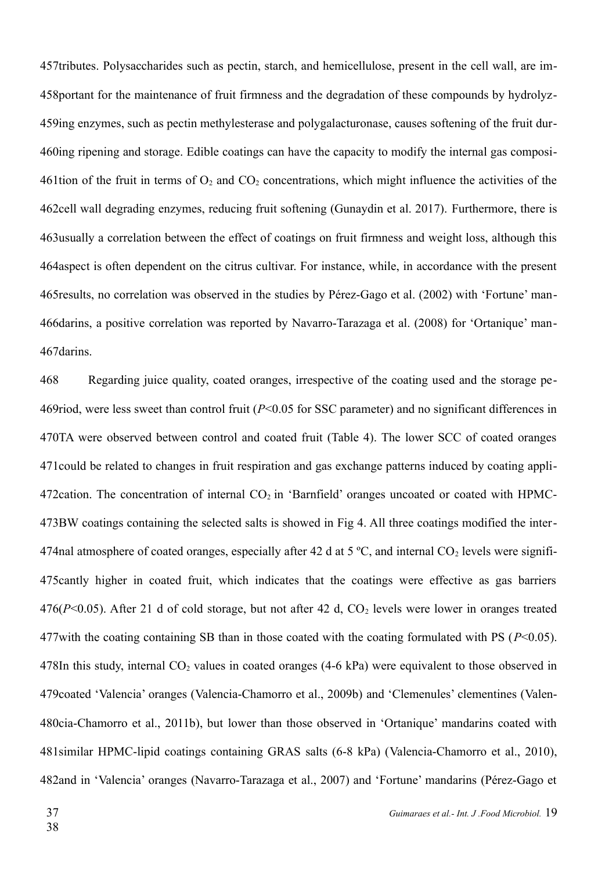457tributes. Polysaccharides such as pectin, starch, and hemicellulose, present in the cell wall, are im-458 portant for the maintenance of fruit firmness and the degradation of these compounds by hydrolyz-459ing enzymes, such as pectin methylesterase and polygalacturonase, causes softening of the fruit dur-460ing ripening and storage. Edible coatings can have the capacity to modify the internal gas composi-461tion of the fruit in terms of  $O_2$  and  $CO_2$  concentrations, which might influence the activities of the 462cell wall degrading enzymes, reducing fruit softening (Gunaydin et al. 2017). Furthermore, there is 463 usually a correlation between the effect of coatings on fruit firmness and weight loss, although this 464 aspect is often dependent on the citrus cultivar. For instance, while, in accordance with the present 465 results, no correlation was observed in the studies by Pérez-Gago et al. (2002) with 'Fortune' man-466 darins, a positive correlation was reported by Navarro-Tarazaga et al. (2008) for 'Ortanique' man-467 darins.

Regarding juice quality, coated oranges, irrespective of the coating used and the storage pe-469riod, were less sweet than control fruit (*P*<0.05 for SSC parameter) and no significant differences in 470TA were observed between control and coated fruit (Table 4). The lower SCC of coated oranges 471 could be related to changes in fruit respiration and gas exchange patterns induced by coating appli-472 cation. The concentration of internal  $CO<sub>2</sub>$  in 'Barnfield' oranges uncoated or coated with HPMC-473BW coatings containing the selected salts is showed in Fig 4. All three coatings modified the inter-474 nal atmosphere of coated oranges, especially after 42 d at 5  $^{\circ}$ C, and internal CO<sub>2</sub> levels were signifi-475 cantly higher in coated fruit, which indicates that the coatings were effective as gas barriers  $476(P<0.05)$ . After 21 d of cold storage, but not after 42 d,  $CO<sub>2</sub>$  levels were lower in oranges treated 477 with the coating containing SB than in those coated with the coating formulated with PS  $(P< 0.05)$ . 478In this study, internal  $CO<sub>2</sub>$  values in coated oranges (4-6 kPa) were equivalent to those observed in 479 coated 'Valencia' oranges (Valencia-Chamorro et al., 2009b) and 'Clemenules' clementines (Valen-480cia-Chamorro et al., 2011b), but lower than those observed in 'Ortanique' mandarins coated with 481 similar HPMC-lipid coatings containing GRAS salts (6-8 kPa) (Valencia-Chamorro et al., 2010), 482and in 'Valencia' oranges (Navarro-Tarazaga et al., 2007) and 'Fortune' mandarins (Pérez-Gago et 468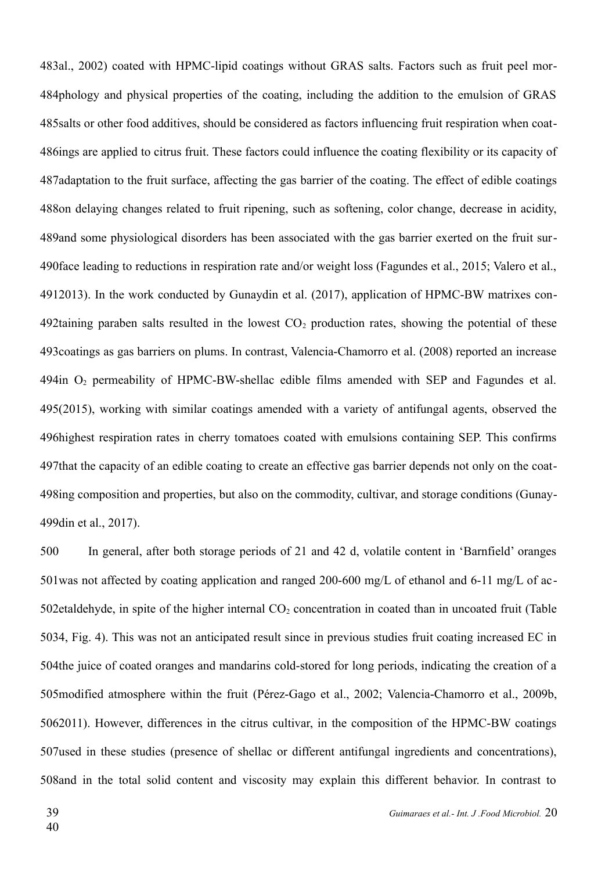483al., 2002) coated with HPMC-lipid coatings without GRAS salts. Factors such as fruit peel mor-484phology and physical properties of the coating, including the addition to the emulsion of GRAS 485 salts or other food additives, should be considered as factors influencing fruit respiration when coat-486ings are applied to citrus fruit. These factors could influence the coating flexibility or its capacity of 487adaptation to the fruit surface, affecting the gas barrier of the coating. The effect of edible coatings 488on delaying changes related to fruit ripening, such as softening, color change, decrease in acidity, 489 and some physiological disorders has been associated with the gas barrier exerted on the fruit sur-490 face leading to reductions in respiration rate and/or weight loss (Fagundes et al., 2015; Valero et al., 2013). In the work conducted by Gunaydin et al. (2017), application of HPMC-BW matrixes con-491 492taining paraben salts resulted in the lowest  $CO<sub>2</sub>$  production rates, showing the potential of these 493 coatings as gas barriers on plums. In contrast, Valencia-Chamorro et al. (2008) reported an increase 494in  $O_2$  permeability of HPMC-BW-shellac edible films amended with SEP and Fagundes et al. 495(2015), working with similar coatings amended with a variety of antifungal agents, observed the 496 highest respiration rates in cherry tomatoes coated with emulsions containing SEP. This confirms 497 that the capacity of an edible coating to create an effective gas barrier depends not only on the coat-498ing composition and properties, but also on the commodity, cultivar, and storage conditions (Gunay-499din et al., 2017).

In general, after both storage periods of 21 and 42 d, volatile content in 'Barnfield' oranges 501 was not affected by coating application and ranged 200-600 mg/L of ethanol and 6-11 mg/L of ac-502 etaldehyde, in spite of the higher internal  $CO<sub>2</sub>$  concentration in coated than in uncoated fruit (Table 5034, Fig. 4). This was not an anticipated result since in previous studies fruit coating increased EC in 504the juice of coated oranges and mandarins cold-stored for long periods, indicating the creation of a 505 modified atmosphere within the fruit (Pérez-Gago et al., 2002; Valencia-Chamorro et al., 2009b, 5062011). However, differences in the citrus cultivar, in the composition of the HPMC-BW coatings 507 used in these studies (presence of shellac or different antifungal ingredients and concentrations), 508 and in the total solid content and viscosity may explain this different behavior. In contrast to 500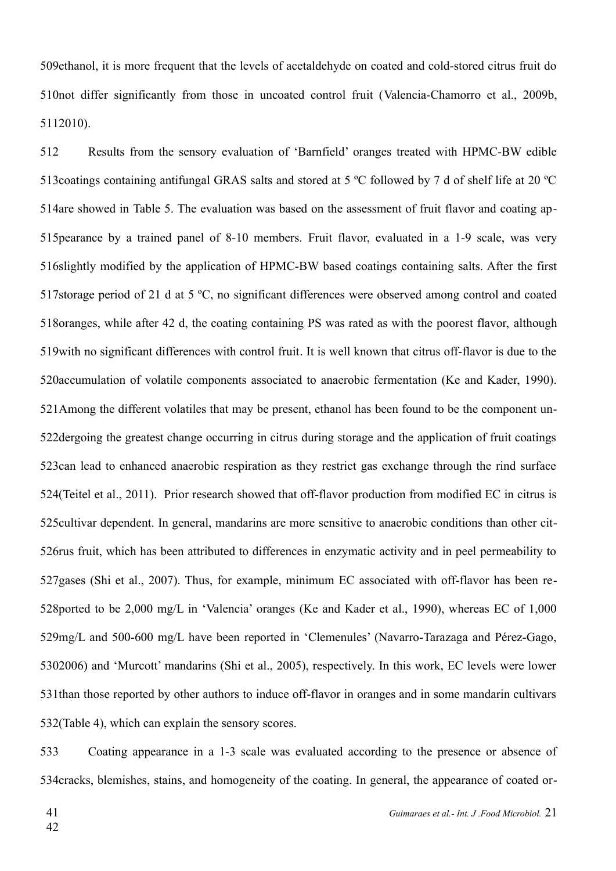509ethanol, it is more frequent that the levels of acetaldehyde on coated and cold-stored citrus fruit do 510not differ significantly from those in uncoated control fruit (Valencia-Chamorro et al., 2009b, 5112010).

Results from the sensory evaluation of 'Barnfield' oranges treated with HPMC-BW edible 513 coatings containing antifungal GRAS salts and stored at 5 °C followed by 7 d of shelf life at 20 °C 514are showed in Table 5. The evaluation was based on the assessment of fruit flavor and coating ap-515 pearance by a trained panel of 8-10 members. Fruit flavor, evaluated in a 1-9 scale, was very 516 slightly modified by the application of HPMC-BW based coatings containing salts. After the first 517storage period of 21 d at 5  $\degree$ C, no significant differences were observed among control and coated 518 oranges, while after 42 d, the coating containing PS was rated as with the poorest flavor, although 519 with no significant differences with control fruit. It is well known that citrus off-flavor is due to the 520 accumulation of volatile components associated to anaerobic fermentation (Ke and Kader, 1990). 521 Among the different volatiles that may be present, ethanol has been found to be the component un-522 dergoing the greatest change occurring in citrus during storage and the application of fruit coatings 523can lead to enhanced anaerobic respiration as they restrict gas exchange through the rind surface 524 (Teitel et al., 2011). Prior research showed that off-flavor production from modified EC in citrus is 525 cultivar dependent. In general, mandarins are more sensitive to anaerobic conditions than other cit-526rus fruit, which has been attributed to differences in enzymatic activity and in peel permeability to 527 gases (Shi et al., 2007). Thus, for example, minimum EC associated with off-flavor has been re-528ported to be 2,000 mg/L in 'Valencia' oranges (Ke and Kader et al., 1990), whereas EC of 1,000 529mg/L and 500-600 mg/L have been reported in 'Clemenules' (Navarro-Tarazaga and Pérez-Gago, 5302006) and 'Murcott' mandarins (Shi et al., 2005), respectively. In this work, EC levels were lower 531 than those reported by other authors to induce off-flavor in oranges and in some mandarin cultivars 532(Table 4), which can explain the sensory scores. 512

Coating appearance in a 1-3 scale was evaluated according to the presence or absence of 534 cracks, blemishes, stains, and homogeneity of the coating. In general, the appearance of coated or-533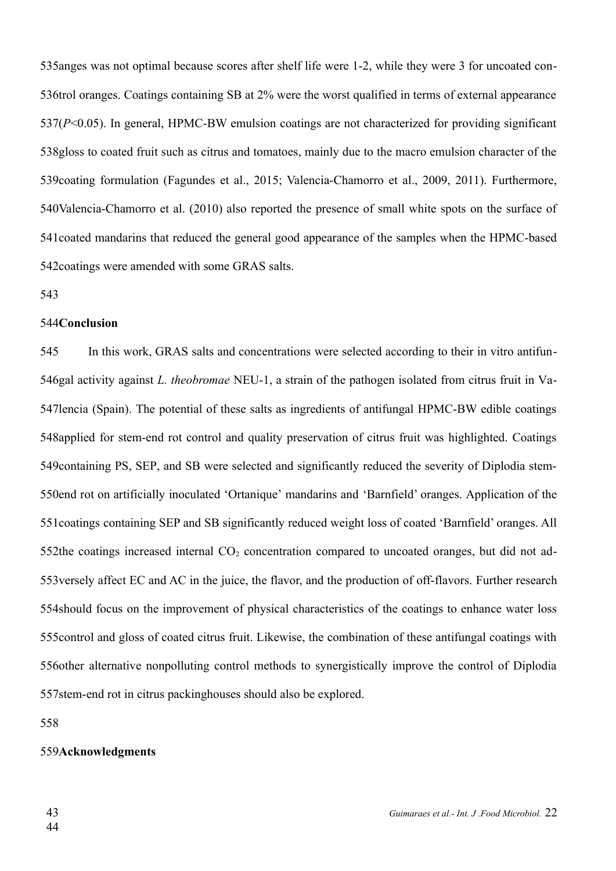535anges was not optimal because scores after shelf life were 1-2, while they were 3 for uncoated con-536trol oranges. Coatings containing SB at 2% were the worst qualified in terms of external appearance 537(P<0.05). In general, HPMC-BW emulsion coatings are not characterized for providing significant 538gloss to coated fruit such as citrus and tomatoes, mainly due to the macro emulsion character of the 539 coating formulation (Fagundes et al., 2015; Valencia-Chamorro et al., 2009, 2011). Furthermore, 540 Valencia-Chamorro et al. (2010) also reported the presence of small white spots on the surface of 541 coated mandarins that reduced the general good appearance of the samples when the HPMC-based 542 coatings were amended with some GRAS salts.

543

#### 544Conclusion

In this work, GRAS salts and concentrations were selected according to their in vitro antifun-546gal activity against *L. theobromae* NEU-1, a strain of the pathogen isolated from citrus fruit in Va-547lencia (Spain). The potential of these salts as ingredients of antifungal HPMC-BW edible coatings 548 applied for stem-end rot control and quality preservation of citrus fruit was highlighted. Coatings 549 containing PS, SEP, and SB were selected and significantly reduced the severity of Diplodia stem-550end rot on artificially inoculated 'Ortanique' mandarins and 'Barnfield' oranges. Application of the 551 coatings containing SEP and SB significantly reduced weight loss of coated 'Barnfield' oranges. All 552the coatings increased internal  $CO<sub>2</sub>$  concentration compared to uncoated oranges, but did not ad-553 versely affect EC and AC in the juice, the flavor, and the production of off-flavors. Further research 554 should focus on the improvement of physical characteristics of the coatings to enhance water loss 555 control and gloss of coated citrus fruit. Likewise, the combination of these antifungal coatings with 556other alternative nonpolluting control methods to synergistically improve the control of Diplodia 557stem-end rot in citrus packinghouses should also be explored. 545

558

#### 559Acknowledgments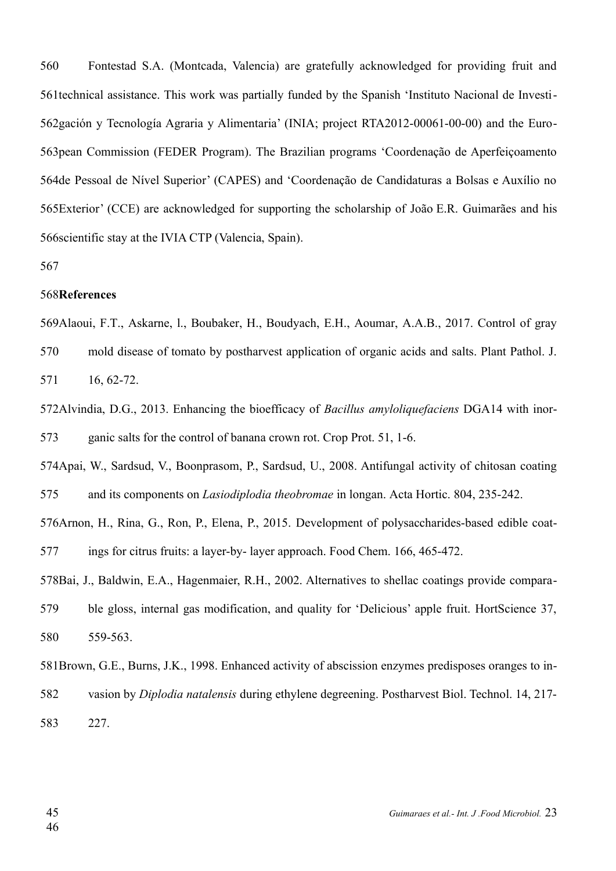Fontestad S.A. (Montcada, Valencia) are gratefully acknowledged for providing fruit and 561 technical assistance. This work was partially funded by the Spanish 'Instituto Nacional de Investi-562 gación y Tecnología Agraria y Alimentaria' (INIA; project RTA2012-00061-00-00) and the Euro-563 pean Commission (FEDER Program). The Brazilian programs 'Coordenação de Aperfeiçoamento 564 de Pessoal de Nível Superior' (CAPES) and 'Coordenação de Candidaturas a Bolsas e Auxílio no 565 Exterior' (CCE) are acknowledged for supporting the scholarship of João E.R. Guimarães and his 566 scientific stay at the IVIA CTP (Valencia, Spain). 560

567

#### 568References

569Alaoui, F.T., Askarne, l., Boubaker, H., Boudyach, E.H., Aoumar, A.A.B., 2017. Control of gray

mold disease of tomato by postharvest application of organic acids and salts. Plant Pathol. J. 16, 62-72. 570 571

572Alvindia, D.G., 2013. Enhancing the bioefficacy of *Bacillus amyloliquefaciens* DGA14 with inorganic salts for the control of banana crown rot. Crop Prot. 51, 1-6. 573

574Apai, W., Sardsud, V., Boonprasom, P., Sardsud, U., 2008. Antifungal activity of chitosan coating and its components on *Lasiodiplodia theobromae* in longan. Acta Hortic. 804, 235-242. 575

576 Arnon, H., Rina, G., Ron, P., Elena, P., 2015. Development of polysaccharides-based edible coatings for citrus fruits: a layer-by- layer approach. Food Chem. 166, 465-472. 577

578Bai, J., Baldwin, E.A., Hagenmaier, R.H., 2002. Alternatives to shellac coatings provide compara-

ble gloss, internal gas modification, and quality for 'Delicious' apple fruit. HortScience 37, 559-563. 579 580

581 Brown, G.E., Burns, J.K., 1998. Enhanced activity of abscission enzymes predisposes oranges to in-

vasion by *Diplodia natalensis* during ethylene degreening. Postharvest Biol. Technol. 14, 217- 582

227. 583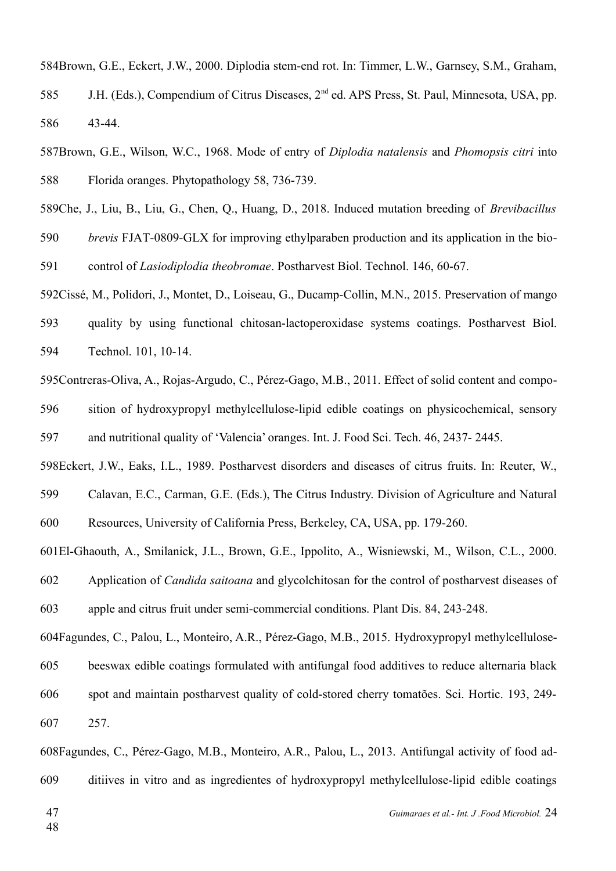584Brown, G.E., Eckert, J.W., 2000. Diplodia stem-end rot. In: Timmer, L.W., Garnsey, S.M., Graham, J.H. (Eds.), Compendium of Citrus Diseases, 2<sup>nd</sup> ed. APS Press, St. Paul, Minnesota, USA, pp. 43-44. 585 586

587Brown, G.E., Wilson, W.C., 1968. Mode of entry of *Diplodia natalensis* and *Phomopsis citri* into Florida oranges. Phytopathology 58, 736-739. 588

589Che, J., Liu, B., Liu, G., Chen, Q., Huang, D., 2018. Induced mutation breeding of *Brevibacillus* 

*brevis* FJAT-0809-GLX for improving ethylparaben production and its application in the biocontrol of *Lasiodiplodia theobromae*. Postharvest Biol. Technol. 146, 60-67. 590 591

592Cissé, M., Polidori, J., Montet, D., Loiseau, G., Ducamp-Collin, M.N., 2015. Preservation of mango

quality by using functional chitosan-lactoperoxidase systems coatings. Postharvest Biol. Technol. 101, 10-14. 593 594

595Contreras-Oliva, A., Rojas-Argudo, C., Pérez-Gago, M.B., 2011. Effect of solid content and composition of hydroxypropyl methylcellulose-lipid edible coatings on physicochemical, sensory and nutritional quality of 'Valencia' oranges. Int. J. Food Sci. Tech. 46, 2437- 2445. 596 597

598Eckert, J.W., Eaks, I.L., 1989. Postharvest disorders and diseases of citrus fruits. In: Reuter, W.,

Calavan, E.C., Carman, G.E. (Eds.), The Citrus Industry. Division of Agriculture and Natural Resources, University of California Press, Berkeley, CA, USA, pp. 179-260. 599 600

El-Ghaouth, A., Smilanick, J.L., Brown, G.E., Ippolito, A., Wisniewski, M., Wilson, C.L., 2000. 601

Application of *Candida saitoana* and glycolchitosan for the control of postharvest diseases of apple and citrus fruit under semi-commercial conditions. Plant Dis. 84, 243-248. 602 603

604Fagundes, C., Palou, L., Monteiro, A.R., Pérez-Gago, M.B., 2015. Hydroxypropyl methylcellulosebeeswax edible coatings formulated with antifungal food additives to reduce alternaria black spot and maintain postharvest quality of cold-stored cherry tomatões. Sci. Hortic. 193, 249- 257. 605 606 607

608Fagundes, C., Pérez-Gago, M.B., Monteiro, A.R., Palou, L., 2013. Antifungal activity of food additiives in vitro and as ingredientes of hydroxypropyl methylcellulose-lipid edible coatings 609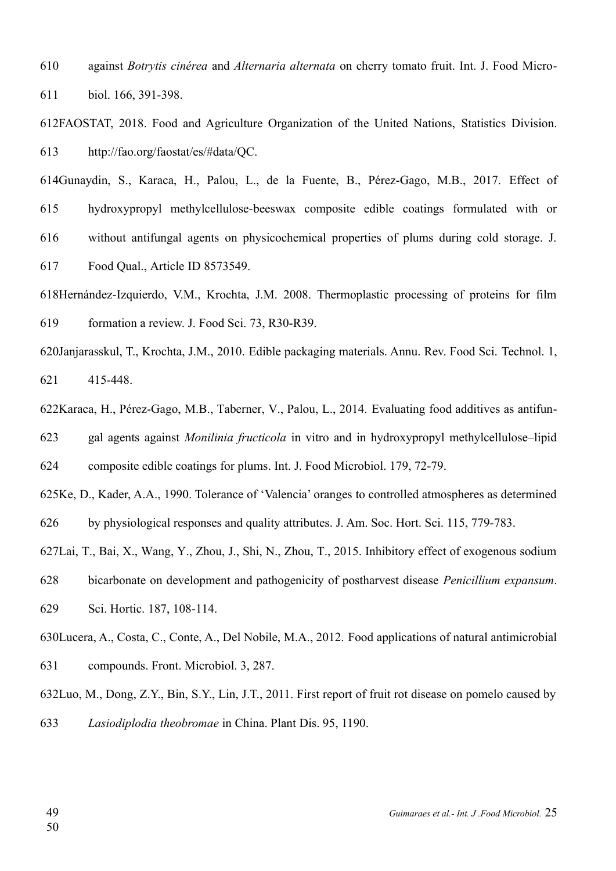against *Botrytis cinérea* and *Alternaria alternata* on cherry tomato fruit. Int. J. Food Microbiol. 166, 391-398. 610 611

612FAOSTAT, 2018. Food and Agriculture Organization of the United Nations, [Statistics Division.](http://www.fao.org/economic/ess/en/) http://fao.org/faostat/es/#data/QC. 613

614Gunaydin, S., Karaca, H., Palou, L., de la Fuente, B., Pérez-Gago, M.B., 2017. Effect of hydroxypropyl methylcellulose-beeswax composite edible coatings formulated with or without antifungal agents on physicochemical properties of plums during cold storage. J. Food Qual., Article ID 8573549. 615 616 617

- 618Hernández-Izquierdo, V.M., Krochta, J.M. 2008. Thermoplastic processing of proteins for film formation a review. J. Food Sci. 73, R30-R39. 619
- 620Janjarasskul, T., Krochta, J.M., 2010. Edible packaging materials. Annu. Rev. Food Sci. Technol. 1, 415-448. 621
- 622Karaca, H., Pérez-Gago, M.B., Taberner, V., Palou, L., 2014. Evaluating food additives as antifun-

gal agents against *Monilinia fructicola* in vitro and in hydroxypropyl methylcellulose–lipid 623

composite edible coatings for plums. Int. J. Food Microbiol. 179, 72-79. 624

625Ke, D., Kader, A.A., 1990. Tolerance of 'Valencia' oranges to controlled atmospheres as determined by physiological responses and quality attributes. J. Am. Soc. Hort. Sci. 115, 779-783. 626

627Lai, T., Bai, X., Wang, Y., Zhou, J., Shi, N., Zhou, T., 2015. Inhibitory effect of exogenous sodium

bicarbonate on development and pathogenicity of postharvest disease *Penicillium expansum*. 628

Sci. Hortic. 187, 108-114. 629

630Lucera, A., Costa, C., Conte, A., Del Nobile, M.A., 2012. Food applications of natural antimicrobial compounds. Front. Microbiol. 3, 287. 631

632Luo, M., Dong, Z.Y., Bin, S.Y., Lin, J.T., 2011. First report of fruit rot disease on pomelo caused by *Lasiodiplodia theobromae* in China. Plant Dis. 95, 1190. 633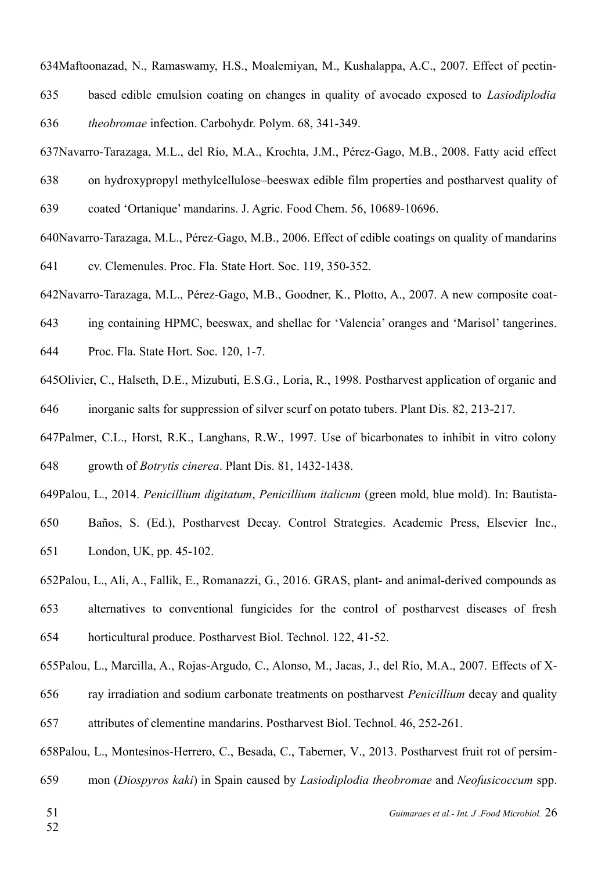634Maftoonazad, N., Ramaswamy, H.S., Moalemiyan, M., Kushalappa, A.C., 2007. Effect of pectin-

based edible emulsion coating on changes in quality of avocado exposed to *Lasiodiplodia theobromae* infection. Carbohydr. Polym. 68, 341-349. 635 636

637Navarro-Tarazaga, M.L., del Río, M.A., Krochta, J.M., Pérez-Gago, M.B., 2008. Fatty acid effect

on hydroxypropyl methylcellulose–beeswax edible film properties and postharvest quality of 638

coated 'Ortanique' mandarins. J. Agric. Food Chem. 56, 10689-10696. 639

640Navarro-Tarazaga, M.L., Pérez-Gago, M.B., 2006. Effect of edible coatings on quality of mandarins cv. Clemenules. Proc. Fla. State Hort. Soc. 119, 350-352. 641

642Navarro-Tarazaga, M.L., Pérez-Gago, M.B., Goodner, K., Plotto, A., 2007. A new composite coat-

ing containing HPMC, beeswax, and shellac for 'Valencia' oranges and 'Marisol' tangerines. 643

Proc. Fla. State Hort. Soc. 120, 1-7. 644

645 Olivier, C., Halseth, D.E., Mizubuti, E.S.G., Loria, R., 1998. Postharvest application of organic and inorganic salts for suppression of silver scurf on potato tubers. Plant Dis. 82, 213-217. 646

647Palmer, C.L., Horst, R.K., Langhans, R.W., 1997. Use of bicarbonates to inhibit in vitro colony growth of *Botrytis cinerea*. Plant Dis. 81, 1432-1438. 648

649Palou, L., 2014. *Penicillium digitatum, Penicillium italicum* (green mold, blue mold). In: Bautista-

Baños, S. (Ed.), Postharvest Decay. Control Strategies. Academic Press, Elsevier Inc., London, UK, pp. 45-102. 650 651

652Palou, L., Ali, A., Fallik, E., Romanazzi, G., 2016. GRAS, plant- and animal-derived compounds as

alternatives to conventional fungicides for the control of postharvest diseases of fresh horticultural produce. Postharvest Biol. Technol. 122, 41-52. 653 654

655Palou, L., Marcilla, A., Rojas-Argudo, C., Alonso, M., Jacas, J., del Río, M.A., 2007. Effects of X-

ray irradiation and sodium carbonate treatments on postharvest *Penicillium* decay and quality 656

attributes of clementine mandarins. Postharvest Biol. Technol. 46, 252-261. 657

658Palou, L., Montesinos-Herrero, C., Besada, C., Taberner, V., 2013. Postharvest fruit rot of persimmon (*Diospyros kaki*) in Spain caused by *Lasiodiplodia theobromae* and *Neofusicoccum* spp. 659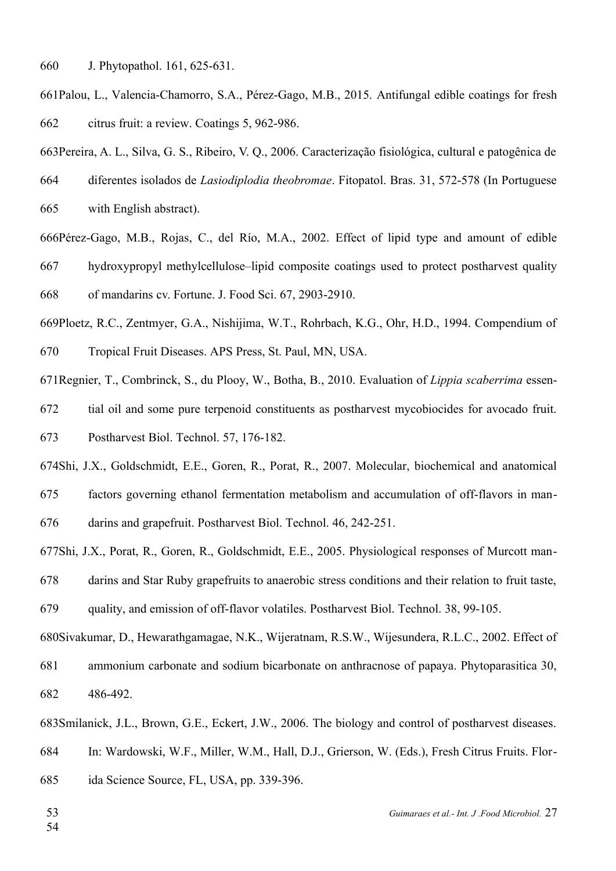J. Phytopathol. 161, 625-631. 660

- 661Palou, L., Valencia-Chamorro, S.A., Pérez-Gago, M.B., 2015. Antifungal edible coatings for fresh citrus fruit: a review. Coatings 5, 962-986. 662
- 663 Pereira, A. L., Silva, G. S., Ribeiro, V. Q., 2006. Caracterização fisiológica, cultural e patogênica de
- diferentes isolados de *Lasiodiplodia theobromae*. Fitopatol. Bras. 31, 572-578 (In Portuguese 664
- with English abstract). 665
- 666Pérez-Gago, M.B., Rojas, C., del Río, M.A., 2002. Effect of lipid type and amount of edible hydroxypropyl methylcellulose–lipid composite coatings used to protect postharvest quality of mandarins cv. Fortune. J. Food Sci. 67, 2903-2910. 667 668
- 669Ploetz, R.C., Zentmyer, G.A., Nishijima, W.T., Rohrbach, K.G., Ohr, H.D., 1994. Compendium of Tropical Fruit Diseases. APS Press, St. Paul, MN, USA. 670
- 671 Regnier, T., Combrinck, S., du Plooy, W., Botha, B., 2010. Evaluation of *Lippia scaberrima* essen-
- tial oil and some pure terpenoid constituents as postharvest mycobiocides for avocado fruit. 672
- Postharvest Biol. Technol. 57, 176-182. 673
- 674Shi, J.X., Goldschmidt, E.E., Goren, R., Porat, R., 2007. Molecular, biochemical and anatomical
- factors governing ethanol fermentation metabolism and accumulation of off-flavors in man-675
- darins and grapefruit. Postharvest Biol. Technol. 46, 242-251. 676
- 677Shi, J.X., Porat, R., Goren, R., Goldschmidt, E.E., 2005. Physiological responses of Murcott man-
- darins and Star Ruby grapefruits to anaerobic stress conditions and their relation to fruit taste, 678
- quality, and emission of off-flavor volatiles. Postharvest Biol. Technol. 38, 99-105. 679
- 680Sivakumar, D., Hewarathgamagae, N.K., Wijeratnam, R.S.W., Wijesundera, R.L.C., 2002. Effect of ammonium carbonate and sodium bicarbonate on anthracnose of papaya. Phytoparasitica 30, 486-492. 681 682
- 683Smilanick, J.L., Brown, G.E., Eckert, J.W., 2006. The biology and control of postharvest diseases.
- In: Wardowski, W.F., Miller, W.M., Hall, D.J., Grierson, W. (Eds.), Fresh Citrus Fruits. Flor-684
- ida Science Source, FL, USA, pp. 339-396. 685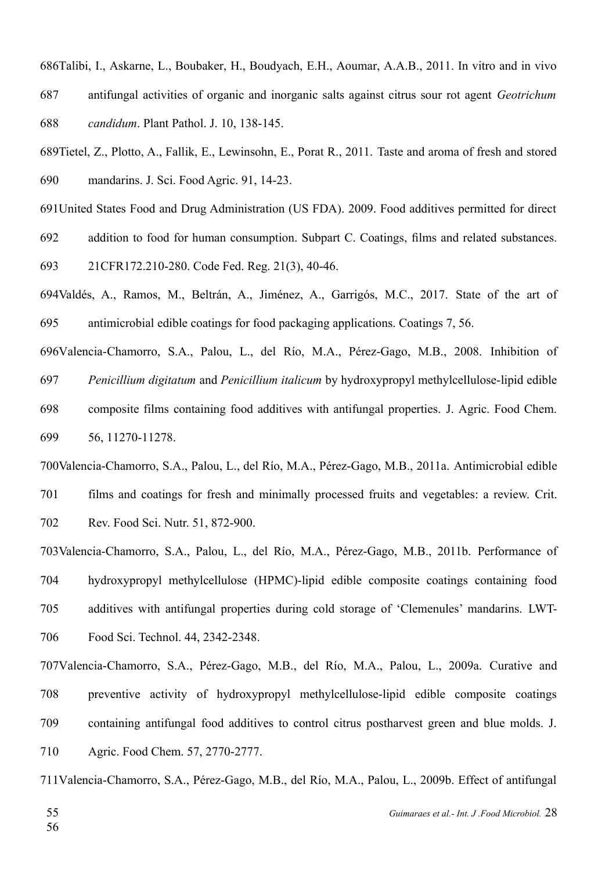686Talibi, I., Askarne, L., Boubaker, H., Boudyach, E.H., Aoumar, A.A.B., 2011. In vitro and in vivo antifungal activities of organic and inorganic salts against citrus sour rot agent *Geotrichum candidum*. Plant Pathol. J. 10, 138-145. 687 688

689Tietel, Z., Plotto, A., Fallik, E., Lewinsohn, E., Porat R., 2011. Taste and aroma of fresh and stored mandarins. J. Sci. Food Agric. 91, 14-23. 690

691 United States Food and Drug Administration (US FDA). 2009. Food additives permitted for direct

addition to food for human consumption. Subpart C. Coatings, films and related substances. 692

21CFR172.210-280. Code Fed. Reg. 21(3), 40-46. 693

694Valdés, A., Ramos, M., Beltrán, A., Jiménez, A., Garrigós, M.C., 2017. State of the art of antimicrobial edible coatings for food packaging applications. Coatings 7, 56. 695

696Valencia-Chamorro, S.A., Palou, L., del Río, M.A., Pérez-Gago, M.B., 2008. Inhibition of *Penicillium digitatum* and *Penicillium italicum* by hydroxypropyl methylcellulose-lipid edible composite films containing food additives with antifungal properties. J. Agric. Food Chem. 56, 11270-11278. 697 698 699

700 Valencia-Chamorro, S.A., Palou, L., del Río, M.A., Pérez-Gago, M.B., 2011a. Antimicrobial edible films and coatings for fresh and minimally processed fruits and vegetables: a review. Crit. Rev. Food Sci. Nutr. 51, 872-900. 701 702

703 Valencia-Chamorro, S.A., Palou, L., del Río, M.A., Pérez-Gago, M.B., 2011b. Performance of hydroxypropyl methylcellulose (HPMC)-lipid edible composite coatings containing food additives with antifungal properties during cold storage of 'Clemenules' mandarins. LWT-Food Sci. Technol. 44, 2342-2348. 704 705 706

707Valencia-Chamorro, S.A., Pérez-Gago, M.B., del Río, M.A., Palou, L., 2009a. Curative and preventive activity of hydroxypropyl methylcellulose-lipid edible composite coatings containing antifungal food additives to control citrus postharvest green and blue molds. J. Agric. Food Chem. 57, 2770-2777. 708 709 710

711Valencia-Chamorro, S.A., Pérez-Gago, M.B., del Río, M.A., Palou, L., 2009b. Effect of antifungal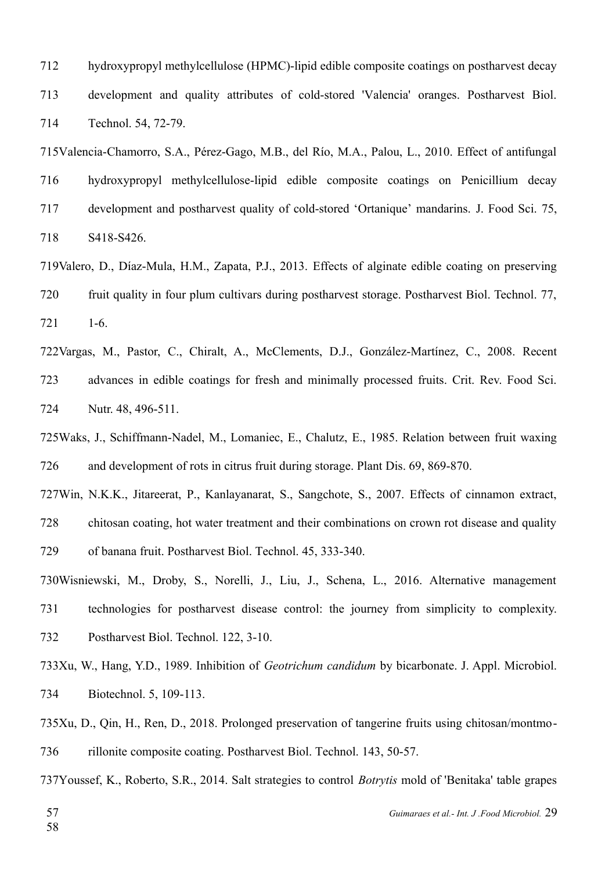hydroxypropyl methylcellulose (HPMC)-lipid edible composite coatings on postharvest decay development and quality attributes of cold-stored 'Valencia' oranges. Postharvest Biol. Technol. 54, 72-79. 712 713 714

715Valencia-Chamorro, S.A., Pérez-Gago, M.B., del Río, M.A., Palou, L., 2010. Effect of antifungal hydroxypropyl methylcellulose-lipid edible composite coatings on Penicillium decay development and postharvest quality of cold-stored 'Ortanique' mandarins. J. Food Sci. 75, S418-S426. 716 717 718

719Valero, D., Díaz-Mula, H.M., Zapata, P.J., 2013. Effects of alginate edible coating on preserving fruit quality in four plum cultivars during postharvest storage. Postharvest Biol. Technol. 77, 1-6. 720 721

722Vargas, M., Pastor, C., Chiralt, A., McClements, D.J., González-Martínez, C., 2008. Recent advances in edible coatings for fresh and minimally processed fruits. Crit. Rev. Food Sci. Nutr. 48, 496-511. 723 724

725Waks, J., Schiffmann-Nadel, M., Lomaniec, E., Chalutz, E., 1985. Relation between fruit waxing and development of rots in citrus fruit during storage. Plant Dis. 69, 869-870. 726

727Win, N.K.K., Jitareerat, P., Kanlayanarat, S., Sangchote, S., 2007. Effects of cinnamon extract, chitosan coating, hot water treatment and their combinations on crown rot disease and quality of banana fruit. Postharvest Biol. Technol. 45, 333-340. 728 729

Wisniewski, M., Droby, S., Norelli, J., Liu, J., Schena, L., 2016. Alternative management 730 technologies for postharvest disease control: the journey from simplicity to complexity. Postharvest Biol. Technol. 122, 3-10. 731 732

733Xu, W., Hang, Y.D., 1989. Inhibition of *Geotrichum candidum* by bicarbonate. J. Appl. Microbiol. Biotechnol. 5, 109-113. 734

735Xu, D., Qin, H., Ren, D., 2018. Prolonged preservation of tangerine fruits using chitosan/montmorillonite composite coating. Postharvest Biol. Technol. 143, 50-57. 736

737Youssef, K., Roberto, S.R., 2014. Salt strategies to control *Botrytis* mold of 'Benitaka' table grapes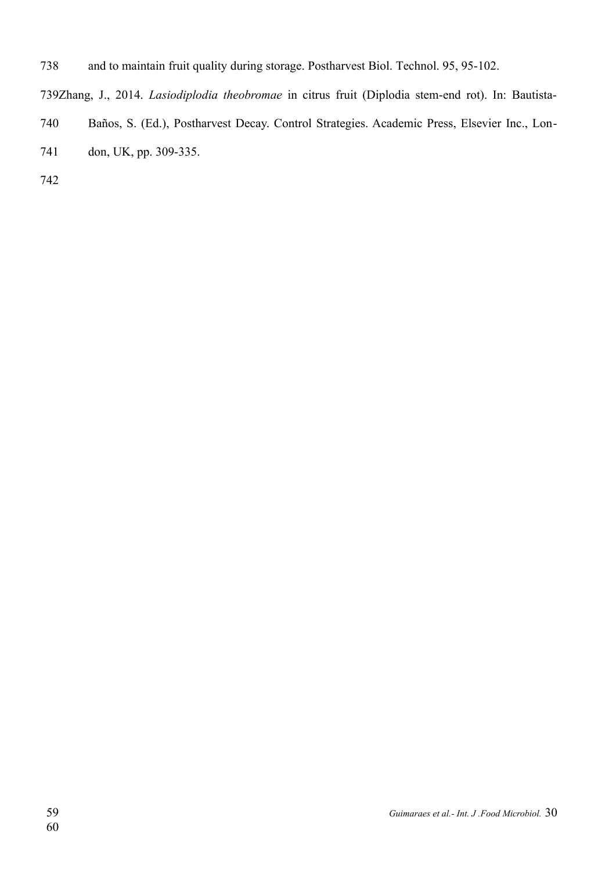and to maintain fruit quality during storage. Postharvest Biol. Technol. 95, 95-102. 738

739Zhang, J., 2014. *Lasiodiplodia theobromae* in citrus fruit (Diplodia stem-end rot). In: Bautista-

- Baños, S. (Ed.), Postharvest Decay. Control Strategies. Academic Press, Elsevier Inc., Lon-740
- don, UK, pp. 309-335. 741
- 742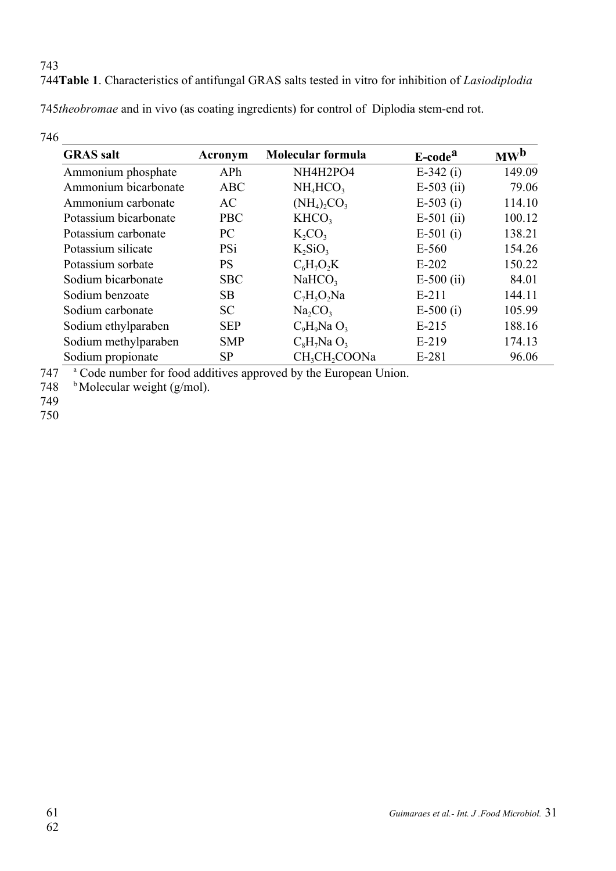**Table 1**. Characteristics of antifungal GRAS salts tested in vitro for inhibition of *Lasiodiplodia*  744

745theobromae and in vivo (as coating ingredients) for control of Diplodia stem-end rot.

| 746                   |            |                                       |                     |                                     |
|-----------------------|------------|---------------------------------------|---------------------|-------------------------------------|
| <b>GRAS</b> salt      | Acronym    | Molecular formula                     | E-code <sup>a</sup> | $\mathbf{M}\mathbf{W}^{\mathbf{D}}$ |
| Ammonium phosphate    | APh        | NH4H2PO4                              | $E-342$ (i)         | 149.09                              |
| Ammonium bicarbonate  | <b>ABC</b> | $NH_4HCO3$                            | $E-503$ (ii)        | 79.06                               |
| Ammonium carbonate    | AC         | $(NH_4)$ <sub>2</sub> CO <sub>3</sub> | $E-503$ (i)         | 114.10                              |
| Potassium bicarbonate | <b>PBC</b> | KHCO <sub>3</sub>                     | $E-501$ (ii)        | 100.12                              |
| Potassium carbonate   | PC         | $K_2CO_3$                             | $E-501$ (i)         | 138.21                              |
| Potassium silicate    | <b>PSi</b> | $K_2SiO_3$                            | $E-560$             | 154.26                              |
| Potassium sorbate     | <b>PS</b>  | $C_6H_7O_2K$                          | $E-202$             | 150.22                              |
| Sodium bicarbonate    | <b>SBC</b> | NaHCO <sub>3</sub>                    | $E-500$ (ii)        | 84.01                               |
| Sodium benzoate       | <b>SB</b>  | $C_7H_5O_2Na$                         | $E-211$             | 144.11                              |
| Sodium carbonate      | <b>SC</b>  | $Na_2CO_3$                            | $E-500(i)$          | 105.99                              |
| Sodium ethylparaben   | <b>SEP</b> | $C_9H_9Na$ $O_3$                      | $E-215$             | 188.16                              |
| Sodium methylparaben  | <b>SMP</b> | $C_8H_7Na$ $O_3$                      | $E-219$             | 174.13                              |
| Sodium propionate     | SP         | CH <sub>3</sub> CH <sub>2</sub> COONa | E-281               | 96.06                               |

<sup>a</sup> Code number for food additives approved by the European Union. 747

 $<sup>b</sup>$  Molecular weight (g/mol).</sup> 748

749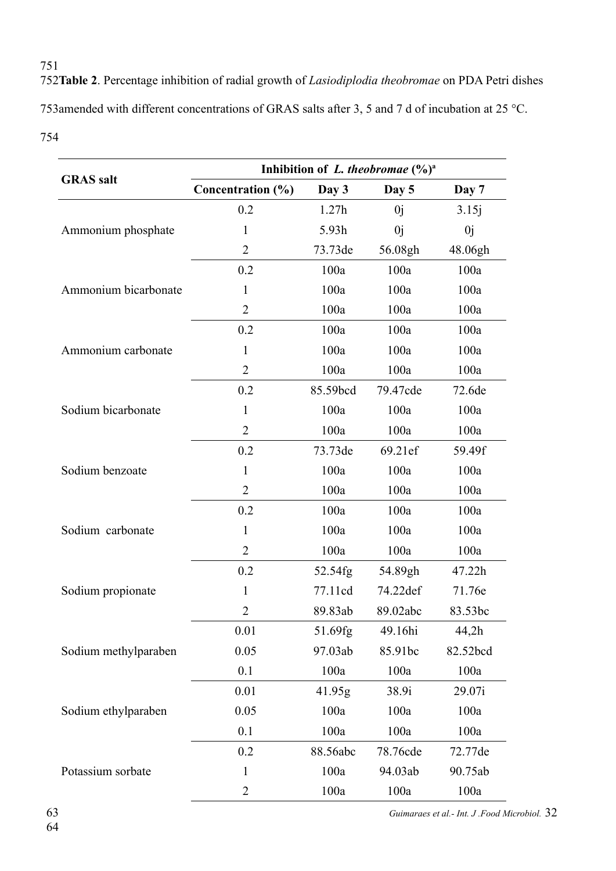**Table 2**. Percentage inhibition of radial growth of *Lasiodiplodia theobromae* on PDA Petri dishes 752 753amended with different concentrations of GRAS salts after 3, 5 and 7 d of incubation at 25 °C. 754

|                      | Inhibition of L. theobromae $(\%)^a$ |          |          |          |  |  |  |  |
|----------------------|--------------------------------------|----------|----------|----------|--|--|--|--|
| <b>GRAS</b> salt     | Concentration (%)                    | Day 3    | Day 5    | Day 7    |  |  |  |  |
|                      | 0.2                                  | 1.27h    | 0j       | 3.15j    |  |  |  |  |
| Ammonium phosphate   | 1                                    | 5.93h    | 0j       | 0j       |  |  |  |  |
|                      | $\overline{2}$                       | 73.73de  | 56.08gh  | 48.06gh  |  |  |  |  |
|                      | 0.2                                  | 100a     | 100a     | 100a     |  |  |  |  |
| Ammonium bicarbonate | 1                                    | 100a     | 100a     | 100a     |  |  |  |  |
|                      | $\overline{2}$                       | 100a     | 100a     | 100a     |  |  |  |  |
|                      | 0.2                                  | 100a     | 100a     | 100a     |  |  |  |  |
| Ammonium carbonate   | 1                                    | 100a     | 100a     | 100a     |  |  |  |  |
|                      | $\overline{2}$                       | 100a     | 100a     | 100a     |  |  |  |  |
|                      | 0.2                                  | 85.59bcd | 79.47cde | 72.6de   |  |  |  |  |
| Sodium bicarbonate   | 1                                    | 100a     | 100a     | 100a     |  |  |  |  |
|                      | $\overline{2}$                       | 100a     | 100a     | 100a     |  |  |  |  |
|                      | 0.2                                  | 73.73de  | 69.21ef  | 59.49f   |  |  |  |  |
| Sodium benzoate      | 1                                    | 100a     | 100a     | 100a     |  |  |  |  |
|                      | $\overline{2}$                       | 100a     | 100a     | 100a     |  |  |  |  |
|                      | 0.2                                  | 100a     | 100a     | 100a     |  |  |  |  |
| Sodium carbonate     | 1                                    | 100a     | 100a     | 100a     |  |  |  |  |
|                      | $\overline{2}$                       | 100a     | 100a     | 100a     |  |  |  |  |
|                      | 0.2                                  | 52.54fg  | 54.89gh  | 47.22h   |  |  |  |  |
| Sodium propionate    | 1                                    | 77.11cd  | 74.22def | 71.76e   |  |  |  |  |
|                      | $\overline{2}$                       | 89.83ab  | 89.02abc | 83.53bc  |  |  |  |  |
|                      | 0.01                                 | 51.69fg  | 49.16hi  | 44,2h    |  |  |  |  |
| Sodium methylparaben | 0.05                                 | 97.03ab  | 85.91bc  | 82.52bcd |  |  |  |  |
|                      | 0.1                                  | 100a     | 100a     | 100a     |  |  |  |  |
|                      | 0.01                                 | 41.95g   | 38.9i    | 29.07i   |  |  |  |  |
| Sodium ethylparaben  | 0.05                                 | 100a     | 100a     | 100a     |  |  |  |  |
|                      | 0.1                                  | 100a     | 100a     | 100a     |  |  |  |  |
|                      | 0.2                                  | 88.56abc | 78.76cde | 72.77de  |  |  |  |  |
| Potassium sorbate    | $\mathbf{1}$                         | 100a     | 94.03ab  | 90.75ab  |  |  |  |  |
|                      | $\overline{c}$                       | 100a     | 100a     | 100a     |  |  |  |  |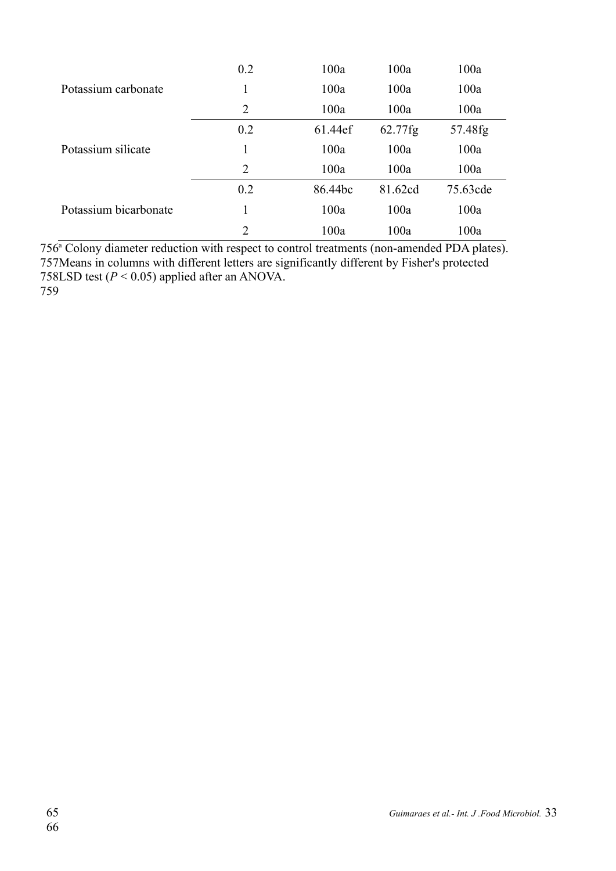|                       | 0.2 | 100a    | 100a       | 100a     |
|-----------------------|-----|---------|------------|----------|
| Potassium carbonate   | 1   | 100a    | 100a       | 100a     |
|                       | 2   | 100a    | 100a       | 100a     |
|                       | 0.2 | 61.44ef | $62.77$ fg | 57.48fg  |
| Potassium silicate    | 1   | 100a    | 100a       | 100a     |
|                       | 2   | 100a    | 100a       | 100a     |
|                       | 0.2 | 86.44bc | 81.62cd    | 75.63cde |
| Potassium bicarbonate | 1   | 100a    | 100a       | 100a     |
|                       | 2   | 100a    | 100a       | 100a     |

756<sup>ª</sup> Colony diameter reduction with respect to control treatments (non-amended PDA plates). 757Means in columns with different letters are significantly different by Fisher's protected 758LSD test  $(P < 0.05)$  applied after an ANOVA.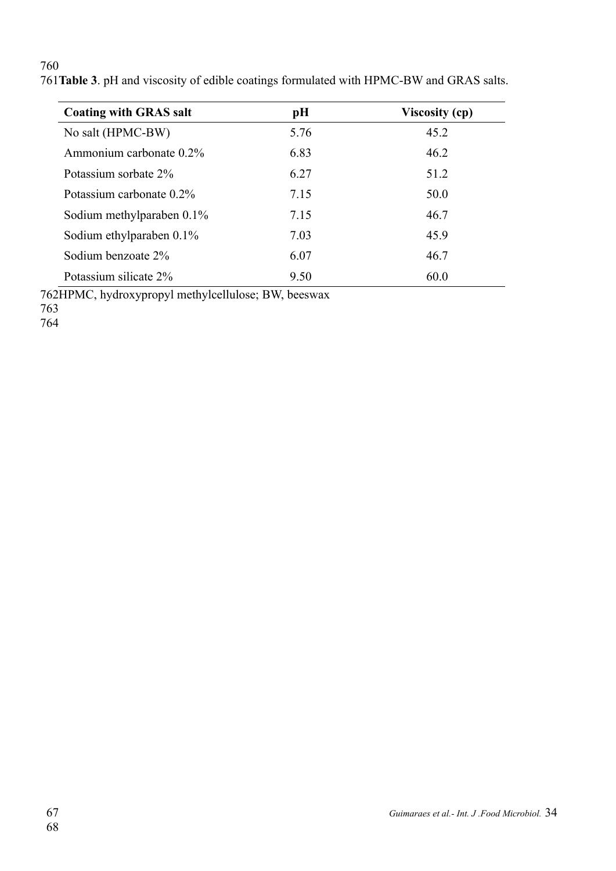| <b>Coating with GRAS salt</b> | pH   | <b>Viscosity (cp)</b> |
|-------------------------------|------|-----------------------|
| No salt (HPMC-BW)             | 5.76 | 45.2                  |
| Ammonium carbonate 0.2%       | 6.83 | 46.2                  |
| Potassium sorbate 2%          | 6.27 | 51.2                  |
| Potassium carbonate 0.2%      | 7.15 | 50.0                  |
| Sodium methylparaben $0.1\%$  | 7.15 | 46.7                  |
| Sodium ethylparaben $0.1\%$   | 7.03 | 45.9                  |
| Sodium benzoate 2%            | 6.07 | 46.7                  |
| Potassium silicate 2%         | 9.50 | 60.0                  |

**Table 3**. pH and viscosity of edible coatings formulated with HPMC-BW and GRAS salts. 761

762HPMC, hydroxypropyl methylcellulose; BW, beeswax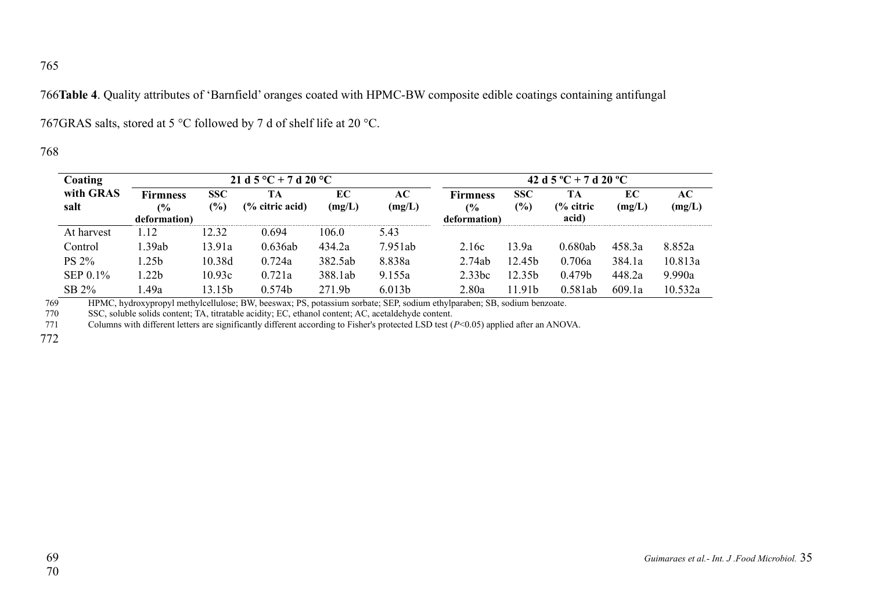**Table 4**. Quality attributes of 'Barnfield' oranges coated with HPMC-BW composite edible coatings containing antifungal 766

767GRAS salts, stored at 5  $\degree$ C followed by 7 d of shelf life at 20  $\degree$ C.

## 768

| Coating           | 21 d 5 °C + 7 d 20 °C                 |                   |                                  |              |                    | 42 d 5 °C + 7 d 20 °C                 |                             |                                     |              |               |
|-------------------|---------------------------------------|-------------------|----------------------------------|--------------|--------------------|---------------------------------------|-----------------------------|-------------------------------------|--------------|---------------|
| with GRAS<br>salt | <b>Firmness</b><br>(%<br>deformation) | <b>SSC</b><br>(%) | TА<br>$\frac{6}{6}$ citric acid) | EС<br>(mg/L) | AС<br>(mg/L)       | <b>Firmness</b><br>(%<br>deformation) | <b>SSC</b><br>$\frac{6}{2}$ | TА<br>$\frac{6}{6}$ citric<br>acid) | EС<br>(mg/L) | AC-<br>(mg/L) |
| At harvest        | 1.12                                  | 12.32             | 0.694                            | 106.0        | 5.43               |                                       |                             |                                     |              |               |
| Control           | 1.39ab                                | 13.91a            | 0.636ab                          | 434.2a       | 7.951ab            | 2.16c                                 | 13.9a                       | 0.680ab                             | 458.3a       | 8.852a        |
| <b>PS 2%</b>      | l.25b                                 | 10.38d            | 0.724a                           | 382.5ab      | 8.838a             | 2.74ab                                | 12.45 <sub>b</sub>          | 0.706a                              | 384.1a       | 10.813a       |
| $SEP 0.1\%$       | l.22b                                 | 10.93c            | 0.721a                           | 388.1ab      | 9.155a             | 2.33bc                                | 12.35b                      | 0.479 <sub>b</sub>                  | 448.2a       | 9.990a        |
| SB 2%             | .49a                                  | 13.15b            | 0.574b                           | 271.9b       | 6.013 <sub>b</sub> | 2.80a                                 | 11.91b                      | 0.581ab                             | 609.1a       | 10.532a       |

HPMC, hydroxypropyl methylcellulose; BW, beeswax; PS, potassium sorbate; SEP, sodium ethylparaben; SB, sodium benzoate. 769

SSC, soluble solids content; TA, titratable acidity; EC, ethanol content; AC, acetaldehyde content. 770

Columns with different letters are significantly different according to Fisher's protected LSD test (*P*<0.05) applied after an ANOVA. 771

772

*Guimaraes et al.- Int. J .Food Microbiol.* 35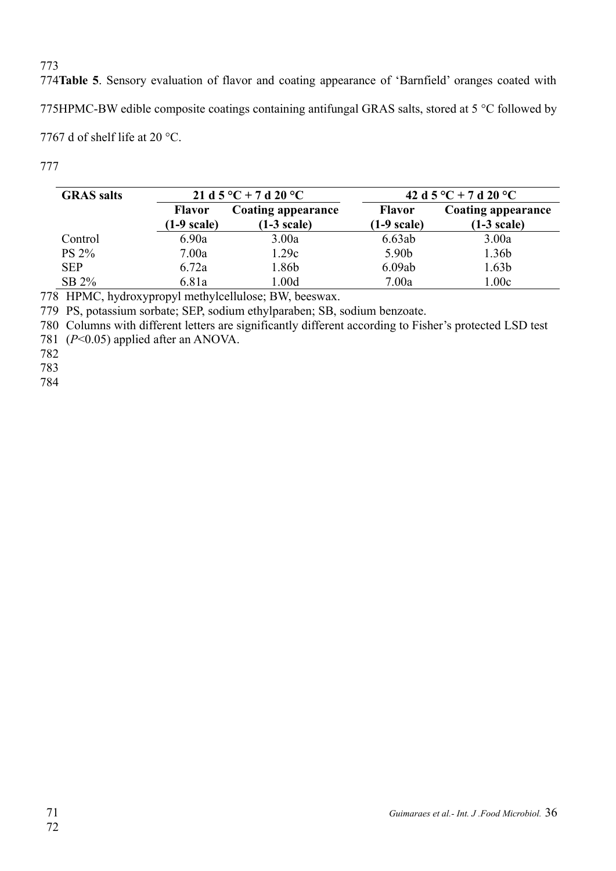774Table 5. Sensory evaluation of flavor and coating appearance of 'Barnfield' oranges coated with 775HPMC-BW edible composite coatings containing antifungal GRAS salts, stored at 5  $\degree$ C followed by 7767 d of shelf life at 20  $^{\circ}$ C.

777

| <b>GRAS</b> salts |                                 | 21 d 5 °C + 7 d 20 °C               | 42 d 5 °C + 7 d 20 °C                  |                                     |  |  |
|-------------------|---------------------------------|-------------------------------------|----------------------------------------|-------------------------------------|--|--|
|                   | <b>Flavor</b><br>$(1-9)$ scale) | Coating appearance<br>$(1-3 scale)$ | <b>Flavor</b><br>$(1-9 \text{ scale})$ | Coating appearance<br>$(1-3 scale)$ |  |  |
| Control           | 6.90a                           | 3.00a                               | 6.63ab                                 | 3.00a                               |  |  |
| PS 2%             | 7.00a                           | 1.29c                               | 5.90b                                  | 1.36b                               |  |  |
| <b>SEP</b>        | 6.72a                           | .86b                                | 6.09ab                                 | 1.63 <sub>b</sub>                   |  |  |
| $SB 2\%$          | 6.81a                           | .00d                                | 7.00a                                  | 1.00c                               |  |  |

778 HPMC, hydroxypropyl methylcellulose; BW, beeswax.

PS, potassium sorbate; SEP, sodium ethylparaben; SB, sodium benzoate. 779

780 Columns with different letters are significantly different according to Fisher's protected LSD test

781 (P<0.05) applied after an ANOVA.

782

783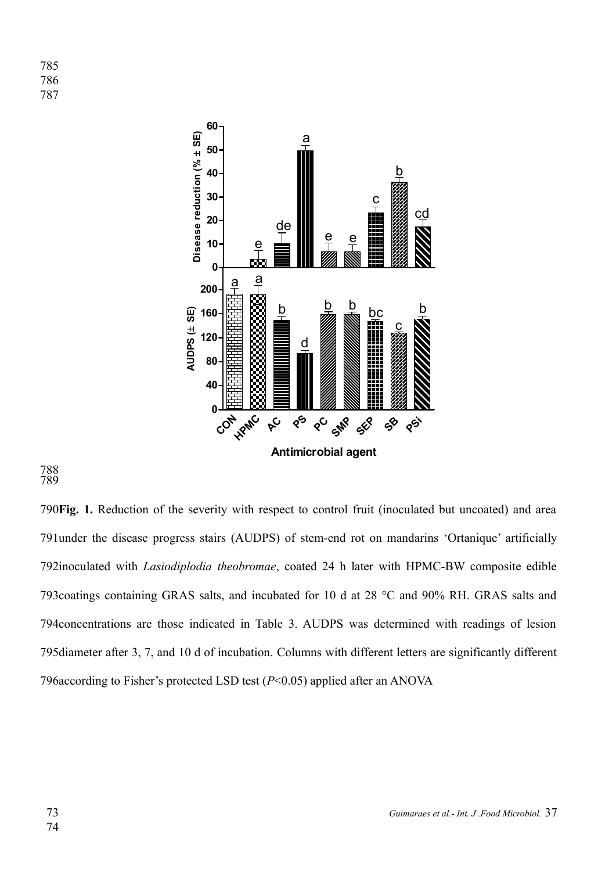

#### 788 789

790 Fig. 1. Reduction of the severity with respect to control fruit (inoculated but uncoated) and area 791 under the disease progress stairs (AUDPS) of stem-end rot on mandarins 'Ortanique' artificially 792inoculated with *Lasiodiplodia theobromae*, coated 24 h later with HPMC-BW composite edible 793 coatings containing GRAS salts, and incubated for 10 d at 28 °C and 90% RH. GRAS salts and 794 concentrations are those indicated in Table 3. AUDPS was determined with readings of lesion 795 diameter after 3, 7, and 10 d of incubation. Columns with different letters are significantly different 796 according to Fisher's protected LSD test  $(P< 0.05)$  applied after an ANOVA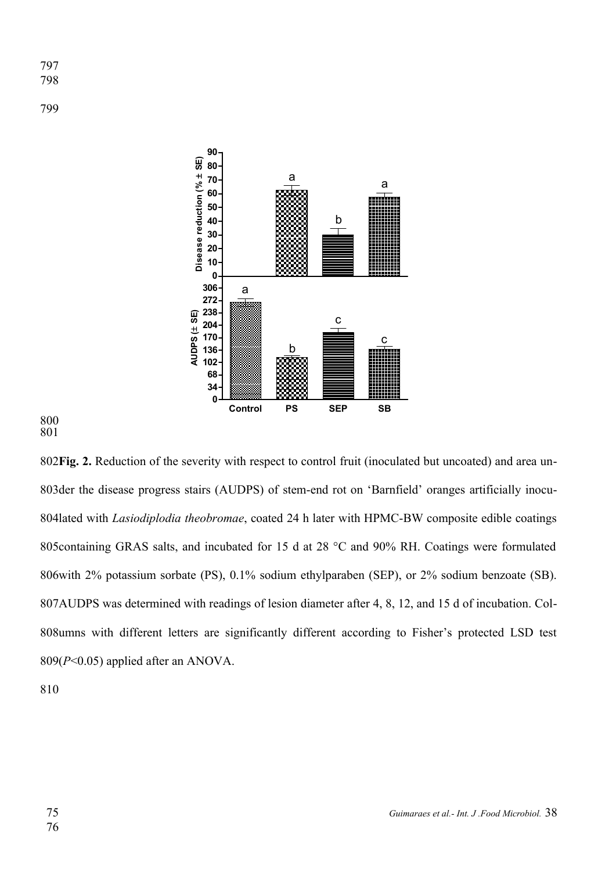799



800 801

**Fig. 2.** Reduction of the severity with respect to control fruit (inoculated but uncoated) and area un-802 803 der the disease progress stairs (AUDPS) of stem-end rot on 'Barnfield' oranges artificially inocu-804lated with *Lasiodiplodia theobromae*, coated 24 h later with HPMC-BW composite edible coatings 805 containing GRAS salts, and incubated for 15 d at 28  $^{\circ}$ C and 90% RH. Coatings were formulated 806 with 2% potassium sorbate (PS), 0.1% sodium ethylparaben (SEP), or 2% sodium benzoate (SB). 807AUDPS was determined with readings of lesion diameter after 4, 8, 12, and 15 d of incubation. Col-808umns with different letters are significantly different according to Fisher's protected LSD test  $809(P<0.05)$  applied after an ANOVA.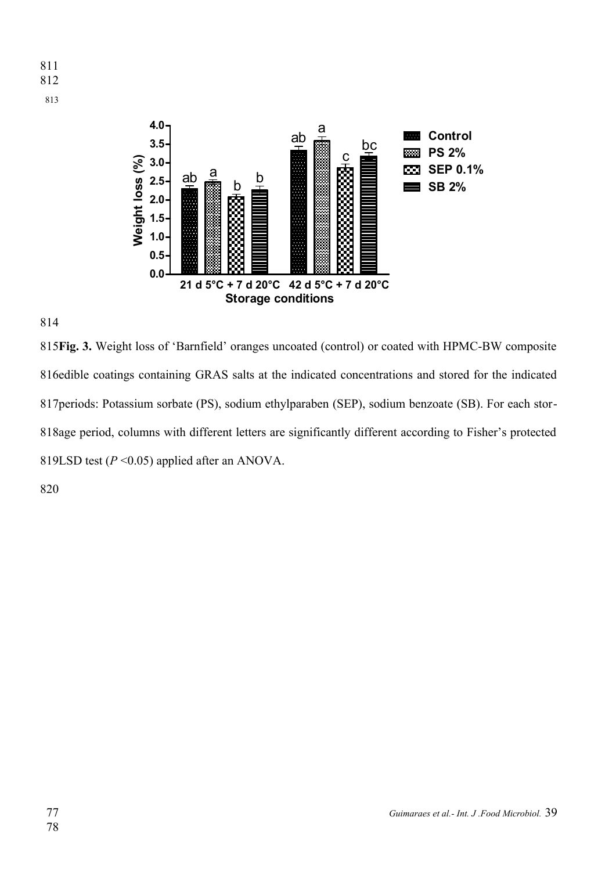



**Fig. 3.** Weight loss of 'Barnfield' oranges uncoated (control) or coated with HPMC-BW composite 815 816edible coatings containing GRAS salts at the indicated concentrations and stored for the indicated 817 periods: Potassium sorbate (PS), sodium ethylparaben (SEP), sodium benzoate (SB). For each stor-818age period, columns with different letters are significantly different according to Fisher's protected 819LSD test  $(P \le 0.05)$  applied after an ANOVA.